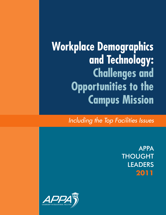**Workplace Demographics and Technology: Challenges and Opportunities to the Campus Mission**

*Including the Top Facilities Issues*

APPA THOUGHT LEADERS **2011**

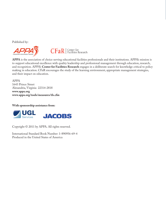Published by:





**APPA** is the association of choice serving educational facilities professionals and their institutions. APPA's mission is to support educational excellence with quality leadership and professional management through education, research, and recognition. APPA's **Center for Facilities Research** engages in a deliberate search for knowledge critical to policy making in education. CFaR encourages the study of the learning environment, appropriate management strategies, and their impact on education.

APPA 1643 Prince Street Alexandria, Virginia 22314-2818 **www.appa.org www.appa.org/tools/measures/tls.cfm**

**With sponsorship assistance from:**



Copyright © 2011 by APPA. All rights reserved.

International Standard Book Number: 1-890956-69-4 Produced in the United States of America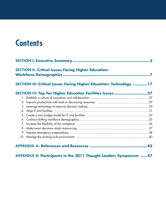# **Contents**

| 3<br><b>SECTION II: Critical Issues Facing Higher Education:</b><br>SECTION III: Critical Issues Facing Higher Education: Technology 17 |  |  |  |
|-----------------------------------------------------------------------------------------------------------------------------------------|--|--|--|
|                                                                                                                                         |  |  |  |
|                                                                                                                                         |  |  |  |
|                                                                                                                                         |  |  |  |
|                                                                                                                                         |  |  |  |
|                                                                                                                                         |  |  |  |
|                                                                                                                                         |  |  |  |
|                                                                                                                                         |  |  |  |
|                                                                                                                                         |  |  |  |
|                                                                                                                                         |  |  |  |
|                                                                                                                                         |  |  |  |
|                                                                                                                                         |  |  |  |
|                                                                                                                                         |  |  |  |

**APPENDIX B: Participants in the 2011 Thought Leaders Symposium ......47**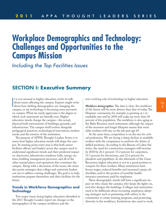# **Workplace Demographics and Technology: Challenges and Opportunities to the Campus Mission**

*Including the Top Facilities Issues*

# **SECTION I: Executive Summary**

It is not unusual in higher education circles to talk<br>
about issues affecting the campus. Experts might write<br>
about how shifting demographics are changing the<br> **Workforce demographics.** The data is clear: the workforce<br> t is not unusual in higher education circles to talk about issues affecting the campus. Experts might write about how shifting demographics are changing the campus, or say technology is becoming more pervasive on campus.What we rarely appreciate is the degree to which such statements are literally true. Higher education trends change the campus—the actual, physical built environment of buildings, grounds, and infrastructure.The campus itself evolves alongside pedagogical practices, technological innovations, student needs, and the mission of the institution.

The purpose of APPA's Thought Leaders Series is to assess how higher education trends will shape the campus.Its starting point every year is that both senior facilities officers and leaders across the campus need to understand significant trends and their predicted impact on classrooms, laboratories, residence halls, energy systems, building management processes, and all of the other myriad places and operations that constitute the campus. Along with a discussion of the issues, the series also posits strategies that college and university leaders can use to address coming challenges.The goal is to help institutions prepare themselves and their facilities for the future.

# **Trends in Workforce Demographics and Technology**

Two major issues facing higher education identified in the 2011 Thought Leaders report are changes in the demographics of the campus workforce and the

ever-evolving role of technology in higher education.

of the future will be more diverse than that of today.The Hispanic community, for example, is growing at a remarkable rate and by 2050 will make up more than 30 percent of the population.The workforce is also aging as the Baby Boomers reach retirement, although the impact of the recession and longer lifespans means that more older workers will stay on the job past age 65.

At the same time, competition is on the rise for critical professions.We are facing a sharp decline in available workers with the competancy to perform the duties of skilled positions. According to the Bureau of Labor Statistics, the need for construction managers will increase by 2018 by 26.1 percent: 15.2 percent for carpenters, 15.3 percent for electricians, and 21.6 percent for plumbers and pipefitters.In the aftermath of the Great Recession, higher education is not in a good position to compete for these workers. Many institutions have frozen wages, reduced benefits and increased copays, deductibles, and/or the portion of monthly health insurance premiums paid by employees.

These demographic trends will have a significant impact on who cleans the campus, who keeps the lights on, and who designs the buildings. Colleges and universities need to be deliberate about recruiting employees, adopting strategies such as partnering with others in the community to create training programs, and promoting diversity in the workforce.Institutions also need to work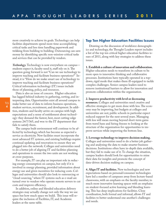more creatively to achieve its goals. Technology can help facilities departments spend more time accomplishing critical tasks and less time handling paperwork and trekking from building to building. Outsourcing can save money by identifying specific non-mission-critical tasks and services that can be provided by vendors.

*Technology.* Technology is now everywhere on campus students expect it, faculty need it, staff rely on it.The question going forward is not "Can we use technology to improve teaching and facilitate business operations?" Instead, it is "How do we make smart use of technology to improve teaching and facilitate business operations?" Critical information technology (IT) issues include those of planning, policy, and resources.

Data is also an issue of concern. Higher education has lagged behind industry in gathering, sorting, and interpreting data. Opportunities exist all around campus to make better use of data to inform business operations, student services, recruitment, and development.In addition, students and faculty arrive on campus with high expectations and a sense of entitlement about technology: they demand the fastest, best, most cutting-edge systems 24/7/365, and woe to the IT department that fails to satisfy them.

The campus built environment will continue to be affected by technology, which has become as expected a service as electricity. New facilities must incorporate the most advanced IT systems, and existing buildings require continual updating and renovation to ensure they are plugged into the network. Colleges and universities need to do a better job of aligning IT and facilities planning and operations to ensure the two units are not working at cross-purposes.

For example,IT can play an important role in reducing energy consumption on campus, but only if it is involved in energy planning, provided information about energy use and given incentives for reducing costs. Colleges and universities should also look to outsourcing or "cloud-sourcing,"where IT systems such as e-mail are turned over to vendors who operate remote servers to cut costs and improve efficiency.

In addition, online and blended education delivery strategies may actually change not only the way we use space but how much space we build. This issue will require the inclusion of Facilities,IT, and Academic leaders at the same table.

# **Top Ten Higher Education Facilities Issues**

Drawing on the discussion of workforce demographics and technology, the Thought Leaders report includes a list of the top ten critical higher education facilities issues of 2011, along with key strategies to address these issues.

**1.Establish a culture of innovation and collaboration.** Higher education needs to transform its culture to be more open to innovative thinking and collaborative processes.Institutions have typically operated in a topdown, rigid mode that makes them ill-equipped to tackle complex challenges. Senior campus leaders need to remove institutional barriers to allow for innovation and promote collaboration within the organization.

#### **2. Improve productivity with level or decreasing**

**resources.** Colleges and universities need creative and effective strategies to get more done with less.The economy may be improving, but budgets at colleges and universities are not; public schools in particular expect reduced support for the next several years. Managing with less will mean moving beyond short-term gains from travel bans and hiring freezes to looking at the structure of the organization for opportunities to improve services while improving the bottom line.

#### **3. Leverage technology to improve decision making.**

Colleges and universities need to do a better job gathering and analyzing the data to make smarter business decisions.Institutions often have in-depth data available, but they fail to make use of it.To change the situation, campus leaders should look for opportunities to mine their data for insights and promote the concept of data-driven decision making on campus.

**4. Align IT and facilities.** New technologies and new expectations based on personal/consumer technologies have led a number of campuses away from lecture-based classrooms, with an emphasis on the faculty member, to much more innovative learning spaces with an emphaiss on student-focused active learning and blending learning.This has deep implications for facilities. Close coordination, both formal and informal, allows IT and facilities to better understand one another's challenges and needs.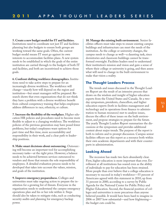**5. Create a new budget model for IT and facilities.** Institutions need to coordinate not just IT and facilities planning but also budgets to ensure both groups are working toward the same goals. Often, the current budget model means IT must go against its own interests to accommodate facilities plans. A new system needs to be established in which the goals of the entire institution are carried through to the budgets of both IT and facilities, and both are incentivized to achieve those goals.

**6. Confront shifting workforce demographics.**Institutions need to take active steps to prepare for an increasingly diverse workforce. The workforce will change—exactly how will depend on the region and institution—but smart managers will be prepared. Research shows that even organizations that do not think they have a problem with a diverse workforce benefit from cultural competency training that helps employees address differences in race, ethnicity, or culture.

**7. Increase the flexibility of the workplace.** Higher education HR policies and procedures need to become more flexible to adjust to a changing workforce. The workforce policies of the previous generation may have posed fewer problems, but today's employees want options for part-time and flex-time, more accountability and responsibility in their work, and a clear path to leadership positions.

**8. Make smart decisions about outsourcing.** Outsourcing will become an important tool for accomplishing necessary tasks—at the right price. However, a balance needs to be achieved between services outsourced to vendors and those that remain the sole responsibility of employees. A detailed evaluation process needs to be developed that takes into account the values, mission, and goals of the institution.

**9. Improve emergency preparedness.** Colleges and universities must take ongoing action to prepare the institution for a growing list of threats. Everyone in the organization needs to understand the campus emergency operations plan and his or her role within it. Steps should also be taken to mitigate risks, such as conducting security audits and planning for emergency backup power.

**10. Manage the existing built environment.** Senior facilities officers must take steps to ensure existing campus buildings and infrastructure can meet the needs of the institution. As the college or university changes, the campus needs to change as well—a daunting task, since dormitories and classroom buildings cannot be transformed overnight. Facilities leaders need to understand their institution's mission and vision and gain a sense of where their college or university is going, and then assess what will need to change in the built environment to make that vision a reality.

# **The Thought Leaders Process**

The trends and issues discussed in the Thought Leaders Report are the result of an intensive process that draws on the wisdom and insight of higher education experts from the United States and Canada. At a twoday symposium, presidents, chancellors, and higher education experts (both in facilities management and technology and in operations from finance to administration to human resources) met to analyze issues, discuss the effect of these issues on the built environment, and propose strategies to prepare for the future. The yearly Thought Leaders Report summarizes the discussions at the symposium and provides additional context about major trends.The purpose of the report is both to inform and to prompt discussion. Campus senior facilities officers use this report as a resource both within their own academic departments and with their counterparts in administration.

# **Looking Ahead**

The recession has made two facts abundantly clear. First, higher education is more important than ever. Enrollment at all institutions has soared even as the ability of individuals to pay for education has been strained. More people than ever believe that a college education is necessary to succeed in today's workforce—55 percent of Americans agreed with this statement in 2010, up from 31 percent in 2000, according to a survey by Public Agenda for the National Center for Public Policy and Higher Education. Second, the financial position of colleges and universities is more precarious than anyone believed possible.It would have been hard to imagine in 2006 or 2007 how substantial—and how frightening the budget cuts could be.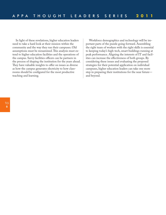In light of these revelations, higher education leaders need to take a hard look at their mission within the community and the way they run their campuses. Old assumptions must be reexamined.This analysis must extend to higher education facilities and the operations of the campus. Savvy facilities officers can be partners in the process of shaping the institution for the years ahead. They have valuable insights to offer on issues as diverse as how the campus generates electricity to how classrooms should be configured for the most productive teaching and learning.

Workforce demographics and technology will be important parts of the puzzle going forward. Assembling the right team of workers with the right skills is essential to keeping today's high-tech, smart buildings running at peak performance. Aligning the interests of IT and facilities can increase the effectiveness of both groups. By considering these issues and evaluating the proposed strategies for their potential application on individual campuses, higher education leaders can take one more step in preparing their institutions for the near future and beyond.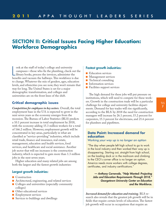# **SECTION II: Critical Issues Facing Higher Education: Workforce Demographics**

ook at the staff of today's college and university<br>campuses—those who fix the plumbing, check out the<br>library books, process the invoices, administer the<br>benefits and vacuum the hallways. This workforce is due ook at the staff of today's college and university campuses—those who fix the plumbing, check out the library books, process the invoices, administer the to change.Whatever the mix of genders, ages, education levels, and ethnicities you see now, they won't remain that way for long. The United States is set for a major demographic transformation, and colleges and universities are on the front lines of the shift.

# **Critical demographic issues**

*Competition for employees in key sectors.* Overall, the total employment base in the U.S. is expected to grow in the next seven years as the economy emerges from the recession.The Bureau of Labor Statistics (BLS) predicts a 10.1 percent increase in total employment by 2018, with the economy adding 15.3 million workers for a total of 166.2 million. However, employment growth will be concentrated in key areas, particularly in what are classified as "service-providing"industries, which include retail trade, finance and insurance, real estate, management, education and health services, food services, and healthcare and social assistance. Another job sector that will see increases is the construction industry, which is expected to gain more than 1.3 million jobs in the next seven years.

Higher education and many related jobs are among both the largest and the fastest growth industries:

# **Largest growth industries:**

- Construction
- Architectural, engineering, and related services
- Colleges and universities (especially community colleges)
- Other educational services
- **■** Employment services
- Services to buildings and dwellings

### **Fastest growth industries:**

- Education services
- Management services
- Technical consulting
- Information services
- Facilities support services

The high demand for these jobs will put pressure on institutions, which will need to compete for these workers. Growth in the construction trade will be a particular challenge for college and university facilities departments. Demand for key trades will rise significantly, according to the BLS: by 2018 the need for construction managers will increase by 26.1 percent, 15.2 percent for carpenters, 15.3 percent for electricians, and 21.6 percent for plumbers and pipefitters.

# **Data Point: Increased demand for education**

*Working your way up is no longer an option*

"The day when people left high school to go to work in the local industry and then worked their way up is disappearing. Starting out, straight from high school, on the loading dock or in the mailroom and climbing to the CEO's corner office is no longer an option. America needs more workers with college degrees, certificates, and industry certifications."

*— Anthony Carnevale, "Help Wanted: Projecting Jobs and Education Requirements Through 2018," Georgetown University Center on Education and the Workforce.*

*Increased demand for education and training.* BLS research also reveals that the greatest job growth will be in fields that require certain levels of education.The fastest job growth will occur in occupations that require an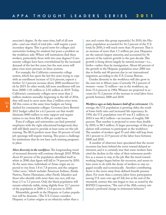associate's degree. At the same time, half of all new jobs—and one-third of total jobs—will require a postsecondary degree.This is good news for colleges and universities looking for students but poses a problem on the workforce side: Where will institutions find these workers, particularly those with two-year degrees? Community colleges have been overwhelmed by the increased demand of the last five years, but the next seven will place even more pressure on these systems.

For example, the California community college system, which has spent the last five years trying to cope with an enrollment increase of 12.6 percent, expects a further 12.3 percent increase above 2008 enrollment levels by 2019.In other words, fall term enrollment will rise from 2008's 1.81 million to 2.03 million in 2019.Today, California's community colleges serve more than 2 million students annually; beginning in the fall of 2016, they will need to serve more than 2 million every term. All this comes at the same time budgets are being slashed for community colleges: Governor Jerry Brown's 2011 budget called for a 6.5 percent cut that would eliminate \$400 million in state support and require tuition to rise from \$26 to \$36 per credit hour.

Even if colleges and universities can find potential employees with the right educational background, they will still likely need to provide at least some on-the-job training.The BLS predicts more than 30 percent of total job openings will require training.This poses a challenge for institutions that do not have such training programs in place.

*More diversity in the workforce.*The longstanding trend of increased diversity will continue through 2018.While about 81 percent of the population identified itself as white in 2000, that figure will fall to 74 percent by 2050. At the same time, individuals of Asian origin are expected to rise from 3.8 to 7.8 percent, and the category "other races,"which includes American Indians, Alaska Natives, Native Hawaiians, other Pacific Islanders and those who identify with more than one race, will rise from 2.5 to 5.2 percent. Only the black population will remain relatively stable, rising slightly from 12.7 percent of the population in 2000 to 13.0 percent in 2050.

Meanwhile, growth in the Hispanic or Latino population will be dramatic. (The U.S. Census considers Hispanic or Latino origins as an ethnicity rather than a

race and counts this group separately.) In 2010, the Hispanic population accounted for 16.3 percent of the U.S. total; by 2050, it will reach more than 30 percent.That is an increase of more than 1.5 million per year. Hispanics are the nation's largest minority, and accounted for 56 percent of the nation's growth in the past decade.This growth is being driven largely by natural increase—i.e., births—rather than by immigration. About 60 percent of the growth in the Hispanic population since 2000 was due to births and 40 percent due to net international migration, according to the U.S. Census Bureau.

Gender diversity in the workforce will also grow in the next ten to fifteen years. Currently 59.2 percent of women—some 72 million—are in the workforce, up from 53.6 percent in 1984.Women are projected to account for 51.2 percent of the increase in total labor force growth between 2008 and 2018.

*Workforce ages as baby boomers hold off on retirement.* On average, the U.S. population is growing older, the result of lower birth rates and increased life expectancy.In 1950, the U.S. population over 65 was 8.1 million; in 2010 it was 40.2 million—an increase of roughly 500 percent.That number is projected to more than double by 2050, to 88.5 million. A larger percentage of this population will continue to participate in the workforce: The number of workers aged 55 and older will leap from 18.1 percent to 23.9 percent of the labor force between 2008 and 2018.

A number of observers have speculated that the recent recession has been behind the move toward delayed retirement, and it is certainly true that some workers have cited the decline in the value of their retirement portfolios as a reason to stay at the job. But the trend toward working longer began before the recession, and seems to have more to do with the desire of workers to stay engaged socially and economically. Another contributing factor is the move away from defined-benefit pension plans. For more than a century, labor force participation among U.S. men over age 65 fell, but at the end of the twentieth century this rate began to rise; as noted by the RAND Corporation,"The end of the 20th century witnessed a profound change in retirement behavior."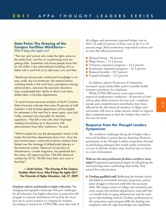# **Data Point: The Graying of the Campus Facilities Workforce—**

*Who'll keep the lights on?*

"The men and women who make the lights come on, the toilets flush, and the air conditioning work are getting older. Sometimes only those people know that an old chiller in the administration building will run better with a swift kick to its side every now and then.

"Replacing idiosyncratic institutional knowledge is not easy under any circumstances. But several factors, including trends in the work force, perceptions among administrators, and even the economic downturn, have complicated their ability to attract and retain skilled labor in facilities departments.

"A recent human-resources analysis at North Carolina State University indicates that some 35 percent of staff members in the facilities department will be eligible for retirement in the next five to seven years, says Jack Colby, assistant vice chancellor for facilities operations. 'That fell in line with what I had been reading and picking up in discussions with administrators from other institutions," he said.

"What troubles him are the demographic trends in the trades that facilities departments draw from. Over the past several years, construction-industry analysts have fretted over the shortage of skilled-trade laborers in the American market. *Electrical Construction & Maintenance*, a trade magazine, has predicted that the nation will need more than 734,000 electrical workers by 2014, 78,000 more than now work in that field."

*— Scott Carlson, "The Graying of the Campus-Facilities Work Force: Who'll Keep the Lights On?",* **The Chronicle of Higher Education***, July 27, 2009.*

*Employee salaries and benefits in higher education.*The changing demographic landscape will pose challenges for all industries, but higher education in particular will struggle to respond.Institutions hit hard by the recession are in a poor position to compete for workers. According to research by CUPA-HR, more than half of all colleges and universities reported budget cuts in 2011-12, with 65 percent of those cuts in the 5 to 10 percent range. Most institutions responded to those cuts in ways that affected personnel:

- Delayed hiring 78 percent
- Wage freezes 71.4 percent
- Voluntary separation programs 23.1 percent
- Involuntary separation programs 23.1 percent
- Reduced benefits 18.7 percent
- Unpaid furloughs 13.2 percent

In addition, almost 30 percent of institutions increased copays, deductibles and/or monthly health insurance premiums for employees.

While CUPA-HR reports some signs toward improved employment conditions—36 percent of institutions plan salary increases for next year—employee morale and competitiveness nevertheless have been affected by the dire financial situation. Colleges and universities will need to make massive strides to improve their competitiveness to find the workers they need in the next ten years.

# **Response from the Thought Leaders Symposium**

The workforce challenges facing all of higher education, and facilities in particular, are daunting. However, participants at the Thought Leaders symposium focused on developing strategies that would enable institutions not just to find the workers they need but also to thrive in a new environment.

*What are the most problematic facilities workforce issues today?* Symposium participants began by identifying the most pressing issues confronting them today.They named five critical points:

■ **Finding qualified staff.** Reflecting the broader trends identified in nationwide research, symposium participants struggle to find new staff with the necessary skills.The unique nature of college and university campuses means that facilities departments need staff who can handle both an aging infrastructure and the most up-to-date building controls. Facilities professionals at the symposium reported great difficulty finding new employees with the right knowledge and capabilities.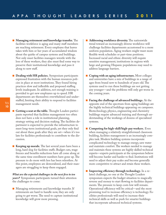- **■ Managing retirement and knowledge transfer.** The facilities workforce is aging and many staff members are reaching retirement. Every employee that leaves takes with him or her years of accumulated wisdom about the quirks of campus systems and buildings. Not only must facilities managers wrestle with the loss of these workers, they also must find some way to preserve their institutional knowledge and pass it along to new staff.
- **Dealing with HR policies.** Symposium participants expressed frustration with the human resources policies in place at most institutions.They found hiring practices slow and inflexible and proposed staffing levels inadequate.In addition, not enough training is provided to get new employees up to speed. HR departments are themselves overwhelmed and understaffed, limiting their ability to respond to facilities management needs.
- **■ Getting a seat at the table.** Thought Leaders participants reported that facilities management too often does not have a role in institutional planning, strategy setting and decision making.The facilities department is expected to provide the infrastructure to meet long-term institutional goals, yet they only find out about these goals after they are set—when it's too late for facilities professionals to contribute to the discussion.
- **Keeping up morale.** The last several years have been a long, hard slog for facilities staffs. Budget cuts, wage freezes and benefits reductions have all come along at the same time enrollment numbers have gone up. The pressure to do more with less has been relentless. At this point, employees are demoralized, and their managers are struggling to keep them engaged.

*What are the expected challenges in the next five to ten years?* Symposium participants turned their attention the challenges to come:

■ Managing retirements and knowledge transfer. If retirements are hard to handle now, they are only going to get worse.The need to capture institutional knowledge will grow more pressing.

- **Addressing workforce diversity.** The nationwide trend toward an increasingly diverse workforce will challenge facilities departments accustomed to a more uniform population. Aging workers might want more flexible work schedules or part-time positions. Increased racial and ethnic diversity will require sensitive management; institutions in regions with large and growing Hispanic populations may need to address language barriers.
- **■ Coping with an aging infrastructure.** Most colleges and universities have a mix of buildings in a range of ages from brand new to hundreds of years old.The systems used to run these buildings are not getting any younger—and the problems will only get worse in the coming years.
- **Facing the challenge of advanced buildings.** At the opposite end of the spectrum from aging buildings are the highly technical buildings appearing on campuses. Biotechnology, physics, engineering and chemistry buildings require advanced training and thorough understanding of the workings of dozens of specialized systems.
- **■ Competing for high-skill/high-pay workers.** Even when managing a relatively straightforward classroom building, facilities management is an increasingly complex task. Modern building systems incorporate complicated technology to manage energy, save water and maintain comfort. The workers needed to manage and maintain these systems are highly skilled technical experts—experts participants at the symposium believe will become harder and harder to find. Institutions will need to adjust their pay scales and become generally more competitive to attract and retain these workers.

■ **Improving efficiency through technology.** In a related challenge, no one at the Thought Leaders symposium expects the budget situation to magically reverse and money to start flowing to facilities departments.The pressure to keep costs low will remain. Operational efficiency will be critical—and the most promising tool to increase efficiency is technology. Facilities professionals will need to increase their technical skills as well as push for smarter buildings that incorporate advanced technical systems.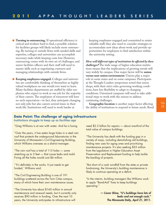- **Turning to outsourcing.** If operational efficiency is critical and workers hard to find, a possible solution for facilities groups will likely include more outsourcing. By turning to outside firms with needed skills and expertise, colleges and universities can accomplish necessary tasks while keeping costs low. However, outsourcing comes with its own set of challenges, and senior facilities officers and their staff will need to master skills such as negotiating contracts and managing relationships with outside firms.
- **■ Keeping employees engaged.** Colleges and universities are comfortable thinking of themselves as highly valued workplaces no one would ever want to leave. Many facilities departments are staffed by older employees who expect to work at one job for the majority of their careers.The employees of tomorrow will have no such expectation—in fact, they anticipate changing not only jobs but also careers several times in their work life.Institutions will need to work harder at

keeping employees engaged and committed to retain valuable staff; they also need to consider strategies to accommodate new ideas about work and provide opportunities for employees to find satisfaction within the university setting.

*How will different types of institutions be affected by these challenges?* The wide range of higher education institutions means that the implications of growing trends will vary widely by campus. One major factor will be **union versus non-union environment**. Unions play a major role in some states and on some campuses. Participants at the Thought Leaders symposium noted that union shops, with their strict rules governing working conditions, have less flexibility to adapt to changing conditions. Unionized campuses will need to take additional steps to work with the unions to address continuing challenges.

**Geographic location** is another major factor affecting the ability of institutions to respond to future needs. Rural

# **Data Point: The challenge of aging infrastructure**

*Institutions struggle to keep up as facilities age*

"Greg Williams is at war with water. And he is losing.

"Over the years, it has eaten large holes in a steel rain roof that protects the underground laboratories in the University of Minnesota's Civil Engineering Building, which Williams oversees as a district manager.

"The rain roof has a total of 115 holes — some stretching up to 3 feet — that cause leaks and mold. Fixing all the holes would cost \$6 million.

"'It's definitely in the works. It just needs to get funded,' Williams said.

"The Civil Engineering Building is one of 191 buildings scattered across the Twin Cities campus, many of which have their own maintenance issues.

"The University has about \$160 million in annual maintenance and renewal needs, but it currently only receives \$90 million in funding. Over the next 10 years, the University anticipates its infrastructure will

need \$2.3 billion for repairs — about one-third of the total value of campus buildings.

"The University has dealt with the funding gap in a variety of ways, including demolishing old buildings, finding new uses for aging ones and prioritizing maintenance projects. It's also seeking \$35 million from the Legislature in Higher Education Asset Preservation and Replacement funding to help tackle the backlog of projects.

"But short of a cash windfall from the state or private fundraising, the University's building maintenance is likely to continue operating at a deficit.

"In the interim, building managers like Williams work to apply "Band-Aid" fixes to keep buildings operating."

> *— Conor Shine, "U's buildings have lots of leaks and not enough cash,"* **The Minnesota Daily***, April 21, 2011.*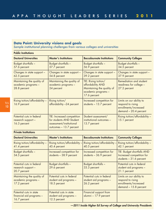# **Data Point: University visions and goals**

*Sample institutional planning challenges from various colleges and universities*

| <b>Public Institutions</b>                                          |                                                                                                               |                                                                                                                |                                                                                                 |  |
|---------------------------------------------------------------------|---------------------------------------------------------------------------------------------------------------|----------------------------------------------------------------------------------------------------------------|-------------------------------------------------------------------------------------------------|--|
| <b>Doctoral Universities</b>                                        | <b>Master's Institutions</b>                                                                                  | <b>Baccalaureate Institutions</b>                                                                              | <b>Community Colleges</b>                                                                       |  |
| <b>Budget shortfalls -</b><br>57.6 percent                          | Budget shortfalls -<br>57.7 percent                                                                           | Budget shortfalls -<br>56.9 percent                                                                            | Budget shortfalls -<br>34.5 percent                                                             |  |
| Changes in state support -<br>62.5 percent                          | Changes in state support -<br>54.8 percent                                                                    | Changes in state support -<br>39.2 percent                                                                     | Changes in state support -<br>37.9 percent                                                      |  |
| Maintaining the quality of<br>academic programs -<br>28.8 percent   | Maintaining the quality of<br>academic programs -<br>24 percent                                               | TIE: Rising tuition/<br>affordability AND<br>Maintaining the quality of<br>academic programs -<br>17.6 percent | Remediation and student<br>readiness for college -<br>27.2 percent                              |  |
| Rising tuition/affordability -<br>16.9 percent                      | Rising tuition/<br>affordability -24 percent                                                                  | Increased competition for<br>students $-13.7$ percent                                                          | Limits on our ability to<br>respond to rising<br>enrollments/increased<br>demand - 20.4 percent |  |
| Potential cuts in federal<br>research support -<br>16.3 percent     | TIE: Increased competition<br>for students AND Student<br>assessment/institutional<br>outcomes - 13.7 percent | Student assessment/<br>institutional outcomes -<br>13.7 percent                                                | Rising tuition/affordability -<br>15.1 percent                                                  |  |
| <b>Private Institutions</b>                                         |                                                                                                               |                                                                                                                |                                                                                                 |  |
| <b>Doctoral Universities</b>                                        | <b>Master's Institutions</b>                                                                                  | <b>Baccalaureate Institutions</b>                                                                              | <b>Community Colleges</b>                                                                       |  |
| Rising tuition/affordability -<br>41.4 percent                      | Rising tuition/affordability -<br>45.4 percent                                                                | Rising tuition/affordability -<br>40.5 percent                                                                 | Rising tuition/affordability -<br>42.1 percent                                                  |  |
| Budget shortfalls -<br>34.5 percent                                 | Increased competition for<br>students $-38.9$ percent                                                         | Increased competition for<br>students - 36.9 percent                                                           | <b>TIE: Budget shortfalls AND</b><br>Increased competition for<br>students $-31.6$ percent      |  |
| Potential cuts in federal<br>research support -<br>20.7 percent     | Budget shortfalls -<br>29.6 percent                                                                           | Budget shortfalls -<br>33.3 percent                                                                            | Potential cuts in federal<br>student aid programs -<br>21.1 percent                             |  |
| Maintaining the quality of<br>academic programs -<br>17.2 percent   | Potential cuts in federal<br>student aid programs -<br>18.5 percent                                           | Potential cuts in federal<br>student aid programs -<br>26.2 percent                                            | Limits on our ability to<br>respond to rising<br>enrollments/increased<br>demand - 15.8 percent |  |
| Potential cuts in state<br>financial aid programs -<br>16.7 percent | Potential cuts in state<br>student aid programs -<br>12.3 percent                                             | Financial support from<br>alumni - 17.9 percent                                                                |                                                                                                 |  |

*—2011 Inside Higher Ed Survey of College and University Presidents*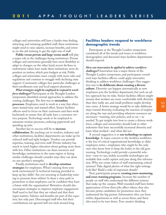colleges and universities will have a harder time finding, attracting, and retaining qualified staff; these institutions might need to raise salaries, increase benefits, and invest in on-the-job training to get the right mix of staff.

**Public versus private and large versus small** will play a major role in the challenges facing institutions. Private colleges and universities generally have more flexibility to adapt to changes; on the other hand, recent declines in endowment values have made these institutions more dependent on tuition, which puts budgets at risk. Public colleges and universities must comply with more rules and regulations and continue to struggle with declining state support. Community colleges face particular challenges as their enrollments soar and local support plummets.

*What strategies might be employed to respond to workforce challenges?* Participants at the Thought Leaders symposium identified several approaches to address the coming challenges.The first was to **streamline processes**. Employees need to work in a way that eliminates wasted time and wasted effort. Senior facilities officers need to focus on their customers and then work backwards to ensure that all tasks have a customer-service purpose.Technology needs to be employed to automate routine processes, reducing paperwork and speeding up jobs.

Another key to success will be to **increase collaboration**. By reaching out to vendors, industry and other institutions, facilities departments can make up for reduced staff and tight budgets. Vendors can provide expertise, training, and even staff. Private industry has much to teach higher education about getting more done with less. Other institutions can share resources and knowledge; institutions in the same region or facing similar challenges should consider ways they can draw on one another's strengths.

Finally, institutions need to **develop retention strategies** for employees.What's missing from your work environment? Is technical training provided to keep up key skills? Are you investing in leadership training to promote from within? Is there a clear path to promotion so that employees can be confident they have a future with the organization? Retention should also encompass strategies to improve employee engagement. Staff need to feel that they are valued and that their input matters. Salaries and benefits are part of this equation, but only part. Discouraged staff who feel their contributions are ignored will not stick around long.

# **Facilities leaders respond to workforce demographic trends**

Participants at the Thought Leaders symposium considered all of the trends and issues in workforce demographics and discussed ways facilities departments should respond.

*How can innovation be applied to address workforce challenges?* Innovation was a major theme of the Thought Leaders symposium, and participants considered ways facilities officers could apply innovative thinking to address workforce challenges. One suggestion was to **be deliberate about creating a diverse culture**. Diversity can happen automatically as new employees join the facilities department, but such an adhoc approach has its risks. Senior facilities officers might assume that workers are more comfortable with diversity than they really are, and small problems might develop into crises. A better strategy would be to take deliberate steps toward diversity, evaluating the reaction of employees along the way and providing whatever resources are necessary—training, new policies, and so on.—as needed.To get insight into how to create a diverse workforce, colleges and universities should look to other industries that have successfully increased diversity and learn what worked—and what did not.

A second suggestion is to **use technology to capture knowledge**. A major concern in the facilities workforce is the loss of critical organizational knowledge as older employees retire—employees who might be the only ones who know how to keep the boiler in the old gym running.Technology could provide a powerful solution—easy-to-use, widely accessible technologies are available that could capture and pass along this information.Why not create videos of staff maintaining critical systems? Take digital photos of what the right settings look like? Build a wiki of important details?

Next, participants propose **creating cross-mentoring and cross-training programs**.Increase the number of people on staff who understand the different systems that make up the campus.Well-rounded staff have better appreciation of how their jobs affect others; they also become prime candidates for promotion since they understand the big picture.Information silos can form within departments as well as across them, and these silos need to be torn down.True creative thinking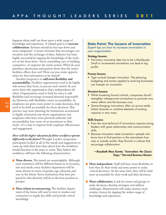happens when staff can draw upon a wide range of knowledge and experience. A related goal is to **increase collaboration**. Systems should be less top-down and more integrated—a looser structure that encourages conversation and the exchange of ideas.Industry has been highly successful by tapping the knowledge of the workers on the front lines—those assembling cars or building computers—to improve the entire system.What do your plumbers, electricians and janitors know that the senior facilities officer does not? How can you create opportunities for that information to be shared?

Another proposal is to **add more flexibility and accountability**. Facilities organizations tend to be highly risk-averse; they focus on process and control. As you move down the organization chart, independence declines. Organizations need to look for ways to add flexibility and encourage increased personal responsibility. However, with flexibility comes accountability. As employees are given more power to make decisions, they need to be held accountable for those decisions.This practice may seem daunting for institutions accustomed to highly structured, top-down organizations, but employees who have more personal authority and accountability have more of an investment in their work—it's a way to improve both employee effectiveness and engagement.

*How will the higher education facilities workforce operate differently in the future?* Thought Leaders symposium participants looked at all of the trends and suggestions to come up with their best ideas about how the workforce would function in the years to come. They believe the workforce will have the following characteristics:

- **More diverse.** The trends are unmistakable. Although each institution will be different based on its location, size and needs, every facilities department will be more diverse in terms of gender, age, ethnicity, and race in the future. Savvy institutions that have prepared for this diversity will be in the best position to prosper.
- **More reliant on outsourcing.** The facilities department of the future will need to turn to vendors and contractors to supply key skills and provide critical knowledge.

# **Data Point: The lessons of innovation** *Expert tips on how to increase innovation in your organization*

#### **Strategy lessons:**

• Not every innovative idea has to be a blockbuster. Small or incremental innovations can lead to big profits.

#### **Process lessons:**

• Tight controls hamper innovation. The planning, budgeting and review applied to evolving businesses can hamper an innovation.

#### **Structure lessons:**

- While loosening formal controls, companies should strengthen interpersonal connections to promote innovation efforts and the business core.
- Game-changing innovations often cut across established channels or combine elements of existing capacity in new ways.

#### **Skills lessons:**

- Even the most technical of innovations requires strong leaders with great relationship and communication skills.
- Because innovators need connectors—people who know how to find partners in the mainstream business or outside world—they flourish in cultures that encourage collaboration.

# *—Rosabeth Moss Kanter, "Innovation: the Classic Traps,"* **Harvard Business Review**

- **More independent.** Staff will have more flexibility in how they do their work and more power to make critical decisions. At the same time, they will be held more accountable for their work and their decisions.
- **More collaborative.** Look for teams and groups to make decisions, develop strategies and address challenges. Departments will make smarter, more creative choices by tapping the widest range of knowledge and experience.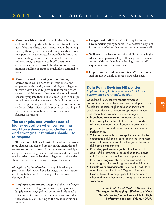- **More data-driven.** As discussed in the technology section of this report, institutions need to make better use of data. Facilities departments need to be among those gathering more data and using analytical tools to support critical choices. As more live information about building performance is available electronically—through a network or NOC operations center—facilities staff would be able to oversee and monitor buidling operations much like traditional networks.
- **■ More dedicated to training and continuing education.**It will be hard for institutions to find employees with the right sets of skills, so colleges and universities will need to provide that training themselves.In addition, staff already on the job will need to constantly update their skills to keep up with changes in technology and advancements in building systems. Leadership training will be necessary to prepare future senior facilities officers, while supervisory training will satisfy an even more basic need for the critical facilities workforce.

# **The strengths and weaknesses of higher education when confronting workforce demographic challenges and strategies institutions should use to respond**

The success or failure of institutions addressing workforce changes will depend greatly on the strengths and weaknesses of those institutions. Symposium participants analyzed those strengths and weaknesses and then developed a series of strategies that colleges and universities should consider when facing demographic shifts.

*Strengths of higher education.* Thought Leaders participants identified several key advantages that institutions can bring to bear on the challenge of workforce demographics:

■ **Employee commitment.** Despite all their challenges in recent years, college and university employees largely remain engaged and committed. Many take pride in the institution they represent and consider themselves as contributing to the broad institutional mission.

- **Longevity of staff.** The staffs of many institutions have remarkably long tenures.They possess a depth of institutional wisdom that serves their employers well.
- **Skill level.** The level of technical skills of many higher education employees is high, allowing them to remain current with the changing technology needs and/or requirements of their positions.
- **Opportunities to add outsourcing.** When in-house staff are not available to meet a particular need,

# **Data Point: Revising HR policies** *Implement simple, broad policies that focus on performance over standardization*

Consulting firm Accenture reports numerous corporations have achieved success by adopting more flexible HR policies. Higher education institutions should consider these innovative approaches when addressing their own employment strategies:

- **Broadband compensation** collapses an organization's salary hierarchy into fewer, wider bands, allowing managers more freedom in determining pay based on an individual's unique situation and performance.
- **Value- or outcome-based competencies** are flexible, customizable skill-sets used to define jobs in a more adaptable way than traditional, organization-wide skill-based competencies.
- **Cascading performance goals** allow the broad goals of the institution to be applied to the individual. First goals are specified at company or unit level, with progressively more detailed and customized goals then set for groups and individuals.
- **Flexible work arrangements** focus on the "what" of a job instead of the "how." Organizations with these policies allow employees to fully customize when and where they work as long as they get their work done.

*—Susan Cantrell and Nicole Di Paolo Foster, "Techniques for Managing a Workforce of One: Flexible Policies,"* **Accenture Institute for High Performance Business***, February 2007.*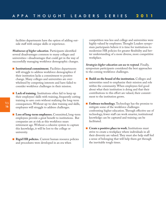facilities departments have the option of adding outside staff with unique skills or experience.

*Weaknesses of higher education.* Participants identified several disadvantages common to many colleges and universities—disadvantages that could get in the way of successfully managing workforce demographic changes.

- **■ Institutional commitment.** Facilities departments will struggle to address workforce demographics if their institution lacks a commitment to positive change. Many colleges and universities are overwhelmed by competing interests and have failed to consider workforce challenges in their mission.
- **Lack of training.** Institutions often fail to keep up their employees'skills with training, frequently cutting training to save costs without realizing the long-term consequences.Without up-to-date training and skills, employees will struggle to address challenges.
- **■ Loss of long-term employees.** Committed, long-term employees provide a great benefit to institutions. But companies are at risk as this workforce nears retirement age.Without a cohesive system to capture this knowledge, it will be lost to the college or university.
- **Rigid HR policies.** Current human resource policies and procedures were developed in an era when

competition was less and college and universities were highly valued by employees.Thought Leaders symposium participants believe it is time for institutions to modernize HR policies for greater flexibiilty and better understanding of a more diverse, more competitive workplace.

*Strategies higher education can use to respond.* Finally, symposium participants considered the best approaches to the coming workforce challenges.

- **■ Build on the brand of the institution.** Colleges and universities need to emphasize their mission and role within the community.When employees feel good about what their institution is doing and that their contributions to this effort are valued, their commitment to the institution grows.
- **Embrace technology.** Technology has the promise to mitigate some of the workforce challenges confronting higher education.Through effective use of technology, fewer staff can work smarter, institutional knowledge can be captured and training can be facilitated.
- **Create a positive place to work.** Institutions must strive to create a workplace where individuals in all their diversity are valued.They must also help staff feel a sense of belonging that will help them get through the inevitable tough times.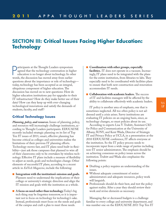# **SECTION III: Critical Issues Facing Higher Education: Technology**

**P** articipants at the Thought Leaders symposium agreed that the technology conversation in hig education is no longer about technology. In ot words, the discussion has moved away from earlier articipants at the Thought Leaders symposium agreed that the technology conversation in higher education is no longer about technology.In other questions about the importance or role of technology today, technology has been accepted as an integral, ubiquitous component of higher education.The discussion has moved on to new questions: How do higher education institutions pay for upgrades to their IT infrastructure? How do they make better use of their data? How can they keep up with ever-changing technological innovations and satisfy the demands of students, faculty, and staff?

# **Critical Technology Issues**

*Planning, policy, and resources.*Issues of planning, policy, and resources will increasingly challenge institutions, according to Thought Leaders participants. EDUCAUSE recently included strategic planning on its list of Top Ten IT issues of 2011; smart, effective planning has become critical as colleges and universities realize the limitations of their previous IT planning efforts. Technology moves fast, and IT plans need built-in flexibility—just ask those campuses that planned to wire all of their classrooms only to be overtaken by wireless technology. Effective IT plans include a measure of flexibility to adjust as needs, goals and technologies change. Other elements of successful IT plans, according to a recent article in *EdTech Magazine*, include the following:

- **■ Integration with the institution's mission and goals.** Planners need to understand the implications of their college or university's strategic direction and align the IT mission and goals with the institution as a whole.
- **A focus** on need **rather than technology.** Today's big tech thing may be forgotten tomorrow, so it is important not to focus on technology for technology's sake. Instead, professionals must focus on the needs and goals of the campus and craft a plan to meet those needs.
- **■ Coordination with other groups, especially facilities.** IT does not operate in a vacuum. Increasingly,IT plans need to be integrated with the plans for the entire institution, from libraries to labs.They especially need to be coordinated with facilities plans to ensure that both new construction and renovation accommodate IT needs.
- **Collaboration** with **academic leaders.** The success of IT and facilities managers will be affected by the ability to collaborate effectively with academic leaders.

IT policy is another area of emphasis, one that is sometimes neglected. All too often policy is not addressed until a crisis arises. Savvy institutions are evaluating IT policies on an ongoing basis, since, as technology changes, so must policies about its use.

According to experts Lisa V.Trubitt, Assistant CIO for Policy and Communication at the University of Albany, SUNY, and Kent Wada, Director of Strategic IT and Privacy Policy at UCLA, in a presentation at the 2010 EDUCAUSE conference,IT affects everyone at the institution. So the IT policy process needs to incorporate input from a wide range of parties including non-IT senior administrators.The emphasis should be on achieving consensus on policy issues across the institution.Trubitt and Wada also emphasize the following points:

- Drafting a policy requires an understanding of the issues.
- Without adequate commitment of senior administrators and adequate resources, policy work will languish.
- Professionals should do their best, and test the policy against reality. After a year they should review their work and revise elements as necessary.

Managing flat or decreased budgets is a challenge familiar to every college and university department, and was number one on the EDUCAUSE 2011 Top Ten IT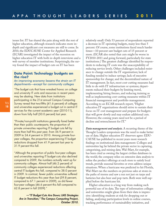issues list.IT has shared the pain along with the rest of higher education, although research indicates more indepth and significant cost measures are still to come.In 2010, the EDUCAUSE Center for Applied Research (ECAR) investigated the impact of the recession on higher education IT with both in-depth interviews and a web survey of member institutions. Surprisingly, the survey found the impact of budget cuts on IT has been

# **Data Point: Technology budgets on the rise?**

### *An improving economy lessens the strain on IT departments—except for community colleges*

"The budget cuts that have wreaked havoc on college and university IT units and resources in recent years may be abating. New data from institutions participating in the 21st annual Campus Computing Survey reveal that two-fifths (41.6 percent) of colleges and universities experienced a budget cut in central IT services for the current academic year (2010-11), down from fully half (50.0 percent) last year.

"Private/non-profit institutions generally fared better than their public counterparts; the proportion of private universities reporting IT budget cuts fell by more than half this past year, from 56.9 percent in 2009 to 24.4 percent in 2010. Among private fouryear colleges, the proportion experiencing IT budget reductions dropped from 41.9 percent last year to 31.9 percent this fall.

"Although the proportion of public four-year colleges and universities reporting IT budget cuts also declined compared to 2009, the numbers actually went up for community colleges. Almost half (46.2 percent) of community colleges experienced reductions affecting central IT budgets this fall, compared to 38.0 percent in 2009. In contrast, fewer public universities suffered IT budget reductions this year than last (59.8 percent, compared to 67.1 percent in 2009), as did fewer four-year colleges (46.6 percent this fall compared to 62.8 percent in fall 2009)."

*—"IT Budget Cuts Are Down; LMS Strategies Are in Transition,"* **The Campus Computing Project***, October 2010.*

relatively small. Only 53 percent of respondents reported a decrease in IT operating budgets, many less than 5 percent. Of course, some institutions faced much harder times—10 percent saw budget cuts of 15 percent or more. (ECAR also noted that cuts might be worse in FY2010-2011 and going forward, particularly for state institutions.) The greatest challenge identified by respondents to reducing IT costs was the unacceptability of reducing service levels. Other challenges included resistance to change outside the IT organization; lack of funding needed to induce savings; lack of executive sponsorship for change; and the decentralized nature of IT management.In fact, most cost-cutting measures had little to do with IT infrastructure or systems; departments reduced their budgets by limiting travel, implementing hiring freezes, and reducing training as well as implementing cost-cutting measures within IT financial management and portfolio management. According to an ECAR research report, "Higher education IT organizations should strive to sustain their focus on IT cost management and prepare for budgets that will grow slowly and may endure additional cuts. However, the coming years need not be a period of decline and retrenchment for IT."

*Data management and analysis.* A recurring theme of the Thought Leaders symposium was the need to make better use of data. Higher education IT observers agree: EDU-CAUSE has published in recent years more research findings on institutional data management. Colleges and universities lag far behind the private sector in capturing, categorizing, and mining data.Wal-Mart, for example, has been cited as owning the largest civilian databases in the world; the company relies on extensive data analysis to refine the product offerings at each store to satisfy local trends, provide seasonal favorites or even address unique situations.When a hurricane was predicted to hit Florida, Wal-Mart ran the numbers on previous sales at stores in the paths of storms and saw a run not just on tarps and batteries but also beer and pop-tarts. Both were well supplied before the hurricane hit.

Higher education is a long way from making such powerful use of its data.The type of information colleges and universities might glean from their data is impressive: identifying students at risk for dropping out or failing, analyzing participation levels in online courses, tracking performance of sustainability initiatives, and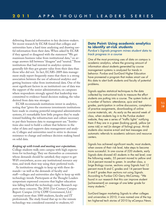delivering financial information to key decision-makers. Yet recent research by ECAR found that colleges and universities have a hard time analyzing and drawing useful information from their data.When asked by ECAR if they agreed or disagreed with the statement "We get maximum business value from institutional data," on average answers fell between "disagree" and "neutral."Those institutions that had invested in analytics systems generally felt they got greater value from their data than those who did not. In fact, ECAR's 2009 data management study report frequently states that there is a strong association between the use of advanced analytics and getting business value from institutional data. One of the most significant factors in an institution's use of data was the support of the senior administration; on campuses where respondents strongly agreed that leadership was committed to evidence-based decision making, the value derived from data was stronger.

ECAR recommends institutions invest in analytics, noting that "given the enormous investments institutions have made in creating powerful integrated administrative systems, it's remarkable how little progress they've made toward building the infrastructure and culture necessary to put their business data to management use."Institutions also need to build a culture that believes in the value of data and supports data management and analysis. Colleges and universities need to strive to decrease resistance to change and embrace decision making based on solid data.

#### *Keeping up with trends and meeting user expectations.*

College students walk onto campus with high expectations for technology.They see themselves as consumers whose demands should be satisfied; they expect to get WiFi everywhere, access any institutional resource any time, and work their way using their preferred tools.

As institutions struggle to keep up with these demands—as well as the demands of faculty and staff—colleges and universities also fight to keep up with technology trends. Participants at the Thought Leaders symposium expressed concerns that higher education was falling behind the technology curve. Research supports these concerns.The 2010 21st-Century Campus Report: Campus 2.0 by CDW Government, LLC surveyed more than 1000 students, faculty and IT professionals.The study found that up-to-the-minute technology was considered essential to students; 63

# **Data Point: Using academic analytics to identify at-risk students**

*Purdue's Signals program mines student data to track progress in a course*

One of the most promising uses of data on campus is academic analytics, where the growing amount of information about students generated by course management systems is analyzed for trends in behavior. Purdue and SunGard Higher Education have pioneered a program that makes smart use of this data to alert both students and faculty of potential problems.

Signals applies statistical techniques to the data collected by instructional tools to measure the effort students are putting into a course. The system looks at a number of factors: attendance, quiz and test grades, participation in online discussions, completion of practice assignments, downloading of online course materials, etc. As early as the second week of class, when students log in to the Purdue student website, they see a series of "traffic lights" notifying them if they are in a green (looking good), yellow (at some risk) or red (in danger of failing) group. At-risk students also receive e-mail and text messages and automatic referrals to academic advisors and resource centers.

Signals has achieved significant results; most students, when aware of their risk level, take steps to become more successful. In one course of 220 students, early Signals data showed 45 students in the red level; over the following weeks, 55 percent moved to yellow and 24.4 percent moved to green. In another class, a large Biology course, sections using Signals had 12 percent more B and C grades and 14 percent fewer D and F grades than sections not using Signals. According to Purdue CIO Gerry McCartney, "We found in our research that this can improve student [achievement] an average of one letter grade for many students."

SunGard began marketing Signals to other colleges and universities in 2010; it was named one of the top ten higher-ed tech stories of 2010 by eCampus News.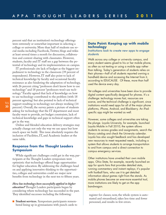percent said that an institution's technology offerings were extremely or somewhat important in selecting a college or university. More than half of students use social media including Facebook,Twitter, blogs and wikis at least several times a month for discussion, collaboration and content-sharing with classmates. However, students, faculty and IT staff see a gap between the potential of technology and its implementation on campus.

IT professionals cite lack of budget as the biggest impediment to technology in the classroom (39 percent of respondents). However,IT staff also point to lack of technical knowledge by faculty and occasional faculty resistance as also hindering the adaptation of technology, with 26 percent citing "professors don't know how to use technology" and 18 percent "professors won't use technology." Faculty agreed that lack of knowledge on how to use technology contributed to the problem (with 18 percent agreeing) but also pointed to lack of technical support resulting in technology not always working (14 percent). Overall, the survey paints a picture of students asking for technology that the IT department and most faculty want to provide, yet budget constraints, lack of technical knowledge and gaps in technical support often get in the way.

Online and blended education delivery strategies may actually change not only the way we use space but how much space we build. This issue absolutely requires the inclusion of Facilities,IT, and Academic leaders at the same table.

# **Response from the Thought Leaders Symposium**

While significant challenges could get in the way, participants at the Thought Leaders symposium were optimistic that technology offered huge opportunities for higher education. By addressing the challenges head on and applying innovative thinking to the opportunities, colleges and universities could see major new benefits from technology in the next ten to fifteen years.

*How has technology been successfully applied in higher education?* Thought Leaders participants began by considering where technology has succeeded in the past. They identified successes including the following:

**■ Student services.** Symposium participants remembered lining up in gymnasiums with punch cards to

# **Data Point: Keeping up with mobile technology**

### *Institutions look to create new apps to engage students*

Walk across any college or university campus, and every student seems glued to his or her mobile phone, as often as not texting or using a mobile app rather than talking. Today's generation of students relies on their phones—half of all students reported owning a handheld device and accessing the Internet from it, according to EDUCAUSE. Of these, more than half used the device every day.

Yet colleges and universities have been slow to provide digital content specifically designed for phones. It's a challenge: technology moves fast, resources are scarce, and the technical challenge is significant, since institutions would need apps for all of the major phone platforms, iPhone, Android, and Blackberry. An iPadspecific app might be wanted as well.

However, some colleges and universities are taking the plunge. Loyola University, for example, launched Loyola Mobile in Fall 2010; the system allows students to access grades and assignments, search the library catalog and check the University calendar. Loyola has also sought feedback and has developed new resources to meet requested needs, including a system that allows students to arrange transportation to and from campus and a direct connection to campus emergency services.

Other institutions have unveiled their own mobile apps. Ohio State, for example, recently launched an app for sports fans that provides detailed stats, running commentary and instant replays; it's popular with football fans, who use it to get detailed information about games right from the stands. As mobile phones become an ever-more essential tool, more institutions are likely to get on the app bandwagon.

register for classes; now, the whole system is automated and streamlined, takes less time and fewer personnel, and results in few errors.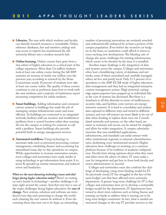- **Libraries.** The ease with which students and faculty can identify research resources is remarkable. Online reference databases, fast and intuitive catalogs and easy access to experts has transformed the old university library into a modern research hub.
- **Online learning.** Online courses have gone from a tiny subset of higher education to a critical part of the college experience. More than 5.6 million students took at least one online course during the fall 2009 semester, an increase of nearly one million over the previous year, according to research by the Sloan Consortium; nearly 30 percent of students now take at least one course online.The quality of these courses continues to rise as professors learn how to work with the new medium, and a majority of institutions report increasing competition for online students.
- **Smart buildings.** Adding information and communications systems to buildings has made the job of managing campus infrastructure easier and more efficient. As buildings are connected to an integrated network, facilities staff can monitor and troubleshoot problems from a central location rather than running all over the campus or waiting for someone to call with a problem. Smart buildings also provide powerful built-in energy management services.
- **Automated workflows.** Using technology to automate tasks such as personnel processing, contract management, scheduling, finance and accounting has streamlined many day-to-day operations on campus. While opportunities to increase automation remain, most colleges and universities have made strides in using technology to get information from point A to point B, speeded up routine transactions, and reduced errors and headaches.

*What are the most daunting technology issues and challenges facing higher education today?* There's no resting on one's laurels in technology—another challenge is always right around the corner. And that very fact is one of the major challenges facing higher education: the **rate of change**. New systems, solutions and software are introduced every day, each promising to change the world, each claiming the user cannot do without it. Even discounting those that turn out to be hype, an astounding

number of promising innovations are routinely unveiled and enthusiastically embraced by at least a portion of the campus population. Even before the recession cut budgets to the bone, no institution could afford to invest in every exciting new development.The blinding rate of change also poses challenges for existing infrastructure, which seems to be obsolete by the time it is installed.

Another major challenge is the integration of data and systems across the campus. Colleges and universities often host a bewildering variety of databases and networks, some of them centralized and carefully managed, others ad-hoc and purely local. Only 11.5 percent of respondents to the 2009 ECAR study of higher education data management said they had an integrated enterprise content management system. High-powered, cuttingedge supercomputers have popped up in individual labs as the cost of systems has decreased. But there is a drawback to all this diversity in terms of inefficiencies, security risks, and facilities costs (servers are energyintensive systems).It is hard to consolidate and analyze data captured in different ways and stored in different systems, and one-off systems are more likely to be out of date when funding to replace them runs out. Consolidated networks and systems, on the other hand, are easier to maintain and secure, can be mined for insights, and allow for wider integration. A campus cyberinfrastructure that uses established applications, infrastructure, and standards can easily interact with other institutional, regional, or national cyberinfrastructures, facilitating cross-institutional research. Higher education faces challenges in insisting on a common platform because of its tradition of academic independence. Faculty have strong opinions about what they want and often resist the advice of others.IT must make a case for integration and get buy-in from both faculty and senior administrators to succeed.

Colleges and universities must also confront the challenge of developing a long-term funding model for IT. As previously noted,IT has struggled in the face of the same budget cuts that have affected every university department. A greater long-term challenge for IT is that colleges and universities have yet to develop a sustainable budget model for the department.IT departments have turned to short-term solutions such as hiring freezes and training cut-backs to address what is turning out to be long-term budget constraints.In fact, what is needed are structural changes to the way IT provides services to the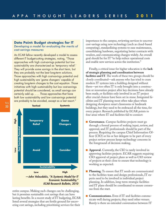# **Data Point: Budget strategies for IT** *Developing a model for evaluating the merits of cost-savings measures*

An ECAR fellow recently developed a model to assess different IT budget-cutting strategies, noting, "Those approaches with high cost-savings potential but low sustainability are characterized as 'temporary relief.' They will provide some savings in the short term, but they are probably not the best long-term solutions. Those approaches with high cost-savings potential and high sustainability are 'game changers' capable of creating long-term changes to the cost equation. Those initiatives with high sustainability but low cost-savings potential should be considered, as small savings can certainly add up. . . . Those approaches that have both low sustainability and low cost-savings potential are probably to be avoided, except as a last resort."



entire campus. Making such changes can be challenging, but it promises sustainable cost savings that can have lasting benefits.In a recent study of IT budgeting, ECAR listed several strategies that are fertile ground for uncovering cost savings, including prioritizing services for their

importance to the campus, reviewing services to uncover cost-savings using new technology (such as cloud-based computing), standardizing systems to ease maintenance, consolidating hardware, negotiating better contracts with vendors, and communicating changes widely. An overall goal should be for IT "to help reduce operational costs and enable new services across the institution."

Finally, a critical issue for higher education is the **lack of strategic planning and coordination between facilities and IT**.The work of these two groups should be closely coordinated—ask anyone who has tried to cram modern IT systems into a building designed without them—yet too often IT is only brought into a construction or renovation project after key decisions have already been made, or facilities only involved in an IT project after crucial choices have been set in stone.Integrated facilities and IT planning most often take place when designing showpiece smart classrooms or landmark buildings, but they need to be embraced all the time, for every project. Research published by ECAR points to four areas where IT and facilities fail to connect:

- **Governance.** Campus facilities projects must go through a formal process of seeking input, review, and approval, and IT professionals should be part of the process. Requiring the campus Chief Information Officer (CIO) or his or her delegate to be part of every project review process keeps technology concerns in the foreground of decision making.
- **Approval.** Currently, the CIO is rarely involved in approving facilities projects. ECAR suggests requiring CIO approval of project plans as well as CIO review of projects at their close to ensure that technology is working as expected.
- **Planning.** To ensure that IT needs are communicated to the facilities team and design professionals,IT experts need to be involved in individual project planning.In addition, long-term strategic facilities and IT plans should be coordinated to ensure consensus from the start.
- **Communications.** Even if IT and facilities communicate well during projects, they need other venues. Rarely is there an extended conversation between IT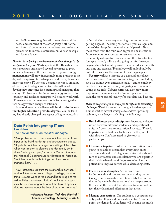and facilities—an ongoing effort to understand the needs and concerns of the other party. Both formal and informal communications efforts need to be implemented to increase awareness, build relationships, and form alliances.

*How is the technology environment likely to change in the next five to ten years?* Participants at the Thoughts Leaders symposium anticipated several key issues to grow more challenging in the next five to ten years. **Energy management** will grow increasingly more pressing as the days of cheap fossil fuels disappear and energy becomes more expensive.IT systems demand enormous amounts of energy, and colleges and universities will need to develop new strategies for obtaining and managing that energy.IT plans must begin to take energy conservation seriously, and facilities managers will need to work with IT managers to find new ways to deliver cutting-edge technology within energy constraints.

A second growing challenge will be **shifts in the way that higher education provides degrees**. Online learning has already changed one aspect of higher education

# **Data Point: Integrating IT and Facilities**

#### *The new demands on facilities managers*

"Real problems can arise when facilities doesn't have input at the building design and procurement stages. 'Hopefully, facilities managers are sitting at the table when construction is planned and designed, but it doesn't always happen,' says Judy Marks, director of the National Clearinghouse for Educational Facilities. 'Facilities inherits the buildings and then has to manage them.' . . .

"How institutions structure the relationship between IT and facilities varies from college to college, but one thing is clear: Gone is the nuts-and-bolts image of the old facilities department. Today's facilities managers must be as knowledgeable about the flow of systems data as they are about the flow of water on campus."

> *—Barbara Ravage, "Tech Gets Physical,"* **Campus Technology***, February 8, 2011.*

by introducing a new way of taking courses and even getting degrees.The rising cost of four-year colleges and universities also points to another anticipated shift: a move away from the four-year degree at one institution. More students are expected to take courses at community colleges for two years, and then transfer to a four-year school; calls are also going out for three-year degree plans that would provide the same education with less time and expense.Technology will undoubtedly be critical to ensuring the success of these degree plans.

**Security** will also increase as a demand on colleges and universities. Risks will continue to grow—including risks we cannot even anticipate today—and technology will be critical to preventing, mitigating and communicating those risks. Cybersecurity will also grow more important. The more value institutions place on their data, the more critical security for that data will become.

*What strategies might be employed to respond to technology challenges?* Participants at the Thought Leaders symposium identified several strategies to address upcoming technology challenges, including the following:

- **■ Build alliances across disciplines.** Increased collaboration between different academic and operational units will be critical to institutional success.IT needs to partner with facilities, facilities with HR, and HR with finance.Turf wars need to give way to partnerships.
- **Outsource to private industry.** The institution is not going to be able to accomplish everything on its own—nor should it. Colleges and universities should turn to contractors and consultants who are experts in their fields; when done right, outsourcing has the potential to improve service while decreasing costs.
- **Focus on your strengths.** At the same time, institutions should concentrate on what they do best. Colleges and universities need to identify their niche their unique role in the educational marketplace—and then use all the tools at their disposal to refine and perfect their educational offerings in that niche.
- **Manage expectations.** The student as a consumer can only push colleges and universities so far. At some point, the demands of students will become too much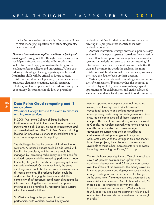for institutions to bear financially. Campuses will need to start managing expectations of students, parents, faculty, and staff.

*How can innovation be applied to address technological challenges?* Throughout the Thought Leaders symposium participants focused on the idea of innovation and looked for ways to apply innovative thinking to the challenges facing colleges and universities.When considering technology challenges, participants believed **leadership skills** will be critical to future success. Institutions need to develop smart, creative leaders who can assess changing situations, quickly strategize solutions, implement plans, and then adjust those plans as necessary.Institutions should look at providing

# **Data Point: Cloud computing and IT innovation**

### *Westmont College turns to the cloud to cut costs and improve services*

In 2008, Westmont College of Santa Barbara, California found itself in the same situation as many institutions: a tight budget, an aging infrastructure and an overwhelmed staff. The CIO, Reed Sheard, starting looking for innovative solutions to its problems and hit upon the concept of cloud computing.

The challenges facing the campus all had traditional solutions. A reduced budget could be addressed with layoffs, the complexity of infrastructure could be managed by increasing redundancy and the need for updated systems could be solved by performing triage to identify the greatest needs and replacing systems as the budget allowed. On the other hand, the same challenges also could be tackled with innovative, even disruptive solutions. The reduced budget could be addressed by changing the business model, the complexity of infrastructure could mean eliminating the infrastructure altogether and the need for updated systems could be handled by replacing those systems with cloud-based solutions.

So Westmont began the process of building partnerships with vendors. Several key systems leadership training for their administrators as well as creating HR programs that identify those with leadership potential.

Another innovation strategy draws on a point already explored in this report: **operate from data**. Savvy institutions will look for opportunities to gather data, invest in systems for analysis and seek to draw out meaningful information on which to make decisions.The better the data and the more in-depth the analysis, the more institutions will be able to make creative leaps, knowing they have the data to back up their decision.

Virtual systems and cloud computing can also become tools for innovation.Technology has the potential to level the playing field, provide cost savings, expand opportunities for collaboration, and enable advanced services for students, faculty and staff. Cloud computing

needed updating or complete overhaul, including e-mail, e-mail storage, network infrastructure, educational software and college advancement encompassing fundraising and college relations. Over time, the college moved all of these systems off campus. The e-mail and calendar system was moved to Google, the wireless network was turned over to a cloud-based controller, and a new college advancement system was built on cloud-based customer-relationship management program Salesforce.com. With the savings in time and money from these projects, the college had the resources available to make other improvements to its IT system, including developing an iPhone/iPad app.

The results have been significant. Overall, the college saw a 65 percent cost reduction upfront over traditional deployments, and 55 percent cost savings over the lifetime of the solutions. The money saved by lowering procurement and deployment costs provided enough funding to pay for the services for five years. At the same time, IT management time decreased and user satisfaction increased. As CIO Sheard noted, "In these times it is tempting to go with the safe, traditional solutions, but as we at Westmont have found, once you examine the seemingly riskier cloud alternatives, the rewards can sometimes far outweigh the risks."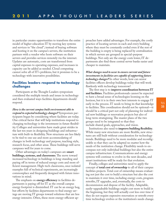in particular creates opportunities to transform the entire model of higher education IT by moving key systems and services to "the cloud"; instead of buying software and hosting it on the campus's servers, the institution partners with a vendor who hosts software on their servers and provides services remotely via the internet. Updates are automatic, costs are transformed from capital expenses to operating expenses, and increases in capacity can be added as needed. Cloud computing cannot solve all of IT's problems, but it promises to be a technology with innovative possibilities.

# **Facilities leaders respond to technology challenges**

Participants at the Thought Leaders symposium considered the multiple trends and issues in technology and then evaluated ways facilities departments should respond.

*How is the current campus built environment able to respond to expected technology changes?* Symposium participants began by considering where facilities are today. One critical factor that will help institutions respond to changing technology is the investment in future flexibility. Colleges and universities have made great strides in the last ten years in designing buildings and infrastructure with built-in flexibility. New structures are less likely to be tied to one use and more accommodating of changes in both technology and purpose, teaching style, research focus, and other areas.These buildings will serve campuses well for years to come.

Other advantages on today's campuses are **smart buildings,systems, and classrooms**.The move toward increased technology in buildings is long-standing and paying off in terms of reduced energy costs and more efficient management. High-tech classrooms, once isolated examples full of technical experiments, are increasingly commonplace and frequently designed with future innovations in mind.

The emphasis on **energy efficiency** in facilities departments is paying off for IT as the overall campus energy footprint is diminished.IT can be an energy hog, but efforts by facilities departments to find energy savings are moving IT groups toward solutions that are less energy intensive. Often, these more energy-efficient approaches have added advantages. For example, the costly practice of locating servers in each and every building where they must be constantly cooled even if the rest of the building is empty is being replaced by centralization in which servers are grouped in special-purpose buildings. Not only are the energy costs lower, IT departments also find these central server banks easier and cheaper to maintain.

*What changes need to occur to ensure current and future investments in facilities are capable of supporting future technology changes?* In other words, how can senior facilities officers develop buildings today that will work flawlessly with technology tomorrow?

The first step is to **improve coordination between IT and facilities.** Facilities professionals cannot be expected to have a broad sense of technologies looming on the horizon, but it is in their own best interests to engage IT early in the process.IT needs to bring its that knowledge to facilities.This coordination should not be optional—it should be a critical part not only of planning for individual new buildings or renovation projects but also of long-term strategizing. The master plans of the two groups need to be integrated so that they include shared goals, approaches, and vision.

Institutions also need to **improve building flexibility**. While many new structures are more flexible, new structures are still built without consideration for technology trends. Buildings need to be more modular and reconfigurable so that they can be adapted no matter how the needs of the institution change. Flexibility needs to encompass not only individual buildings but also the entire campus infrastructure. Communications and energy systems will continue to evolve in the next decades, and smart institutions will be ready for that evolution.

Finally, colleges and universities need to apply the concept of **total cost of ownership** to all of their campus facilities projects.Total cost of ownership means evaluating not just the cost to build a structure but also the cost to maintain it over time, including energy costs, program retrofits,IT upgrades, and, eventually, the costs to decommission and dispose of the facility. Adaptable, easily-upgradeable buildings might cost more to build in the beginning, but they will actually cost less over time if they do not require expensive renovation or retrofit every time technology evolves or the institution's needs change.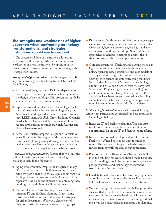# **The strengths and weaknesses of higher education when confronting technology transformations, and strategies institutions should use to respond**

The success or failure of institutions addressing technology will depend greatly on the strengths and weaknesses of those institutions. Symposium participants considered strengths and weaknesses along with strategies for success.

*Strengths of higher education.*The advantages that college and university facilities bring to the table include the following:

- A structured design process. Facilities departments have in place a detailed process for soliciting input on the design of new buildings.This process can easily be adapted to include IT considerations.
- Openness to and familiarity with technology. Facilities staff work with advanced technology every day. New smart buildings and structures designed to meet high LEED standards (U.S. Green Building Council's Leadership in Energy and Environmental Design) require sophisticated technology, which facilities employees have mastered.
- A well-constructed campus. Colleges and universities generally build for the long term. Most campuses were constructed following strong design guidelines that have held up over time. Even buildings designed before the era of modern technology have remarkable integrity.

*Weaknesses of higher education.* Factors that will limit the ability of institutions to meet future technology challenges include the following:

- Aging infrastructure. Despite the integrity of many older buildings, outdated buildings and systems nevertheless pose a challenge for colleges and universities. Adding new technology to these buildings can be an expensive hassle, and the expense of maintaining these buildings puts a drain on facilities resources.
- Piecemeal approach to planning. Few institutions integrate IT and facilities planning.In fact, some institutions fail to prepare and follow effective plans for either department.Without a clear sense of direction, institutions struggle to find the right path.
- Risk-aversion. With respect to their campuses, colleges and universities are generally cautious and conservative. Costs are high, resistance to change is high, and allegiance to old buildings runs deep. New or different approaches to campus structures go against the instincts of many within the campus community.
- Outdated structures. Teaching and learning models in higher education need to change both because technology opens up new possibilities, and cost models of delivery need to change if institutions are to survive. Cutting-edge science laboratory/teaching buildings (such as the University of Minnesota's new biology building and St. Cloud State University's Integrated Science and Engineering Laboratory Facility) are good examples of the change that is needed. Other disciplines have been slower to embed new learning, and outdated structures are making the implementation of essential innovations difficult to achieve.

*Strategies higher education can use to respond.* Finally, symposium participants considered the best approaches to technology challenges.

- Integrate IT and facilities planning. This one step would solve numerous problems and create new opportunities for smart IT and facilities joint efforts.
- Increase professional development and IT training. Facilities staff need to keep up with technology trends.The best way to keep skills fresh is to provide regular training with capable, engaging trainers.
- Plan for flexibility. Those responsible for new buildings and building renovations should make flexibility a goal. Buildings should be designed so that, even as pedagogy evolves and technology changes, the structures remains functional.
- Use data to make decisions. Transforming higher education into data-driven organizations will take time, but it will increase the effectiveness of institutions.
- We must recognize the scale of the challenge and the changes that we will have to make in how we discover new possibilities and make decisions. More attention needs to be given to environmental scanning and making a way for outside ideas to penetrate our planning.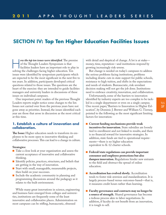# **SECTION IV: Top Ten Higher Education Facilities Issues**

*ow the top ten issues were identified*. The premise<br>
of the Thought Leaders Symposium is that<br>
facilities leaders have an important role to play in<br>
solving the challenges facing higher education Ten of the Thought Leaders Symposium is that solving the challenges facing higher education.Ten issues were identified by symposium participants which are expected to be the most significant in the next five to ten years.In addition, participants developed critical questions related to those issues.The questions are the heart of the exercise: they are intended to guide facilities managers and university leaders in discussions of these issues on individual campuses.

One important point: readers of the previous Thought Leaders reports might notice some changes to the list. Issues not carried over from the previous years have not gone away as priorities.Instead, the issues identified each year are those that arose in discussion as the most critical at this time.

# **1. Establish a culture of innovation and collaboration.**

**The Issue:** Higher education needs to transform its employees to be more open to innovative thinking and collaborative processes.This can lead to a change in culture.

#### **Strategies:**

- Take a close look at your organization and assess the current acceptance of innovative and collaborative thinking.
- Identify policies, practices, structures, and beliefs that are getting in the way of innovation.
- Start with small, manageable, measureable projects, then build on your successes.
- Include the academic community in planning and programming discussions around the pedagogy as it relates to the built environment.

While many great innovations in science, engineering and business have emerged from colleges and universities, institutions are frequently some of the least innovative and collaborative places. Administration on most campuses can be stifling, bureaucratic, obsessed

with detail and skeptical of change. A lot is at stake money, time, reputation—and institutions respond by growing increasingly risk-averse.

But change is needed on today's campuses to address the serious problems facing institutions, problems including drastic cuts in state support for public schools, resistance to high tuition, and shifts in the expectations and needs of students. Bureaucratic, risk-avoidant decision making will not get the job done.Institutions need to embrace creativity, innovation, and collaboration.

Unfortunately, some of the barriers to innovation identified by industry experts are too complex to be tackled in a single department or even on a single campus. One recent paper,"Barriers to Innovation in Higher Education", by Dominic J. Brewer and William G.Tierney, pointed to the following as the most significant limiting factors for innovation:

- **■ Current funding mechanisms provide weak incentives for innovation.** State subsidies are loosely tied to enrollment and not linked to results, and there is no financial reward for innovative strategies.In addition, state funds are tied to operational requirements—there is no higher education equivalent to K-12 charter schools.
- **■ Federal/state regulations can provide important consumer and employee protections but also dampen innovation.**Regulations hinder new entrants to the field and obstruct the spread of online education.
- **Accreditation has evolved slowly.** Accreditation tends to foster risk-aversion and standardization.It is largely process-based versus outcomes-based—that is, it measures credit hours rather than learning.
- **■ Faculty governance and contracts may no longer be a source of strength.** Shared governance has become a tedious process akin to labor negotiations.In addition, if faculty do not benefit from an innovation, it is tough to sell.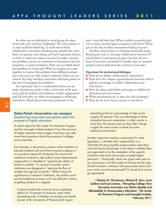So what can an individual or small group do when faced with such systemic challenges? The only solution is to start small but think big. A small step toward collaborative, innovative thinking may provide the confidence for greater risk-taking and teach important lessons on how to make innovation succeed. Consider a persistent problem, a point of contention or frustration that has long been a campus headache. How can you think about this problem in a new way? Who on campus can come together to look at this problem from different perspectives and come up with creative solutions? How can you remove the long-standing constraints that have gotten in the way of managing the problem?

An important step is to understand where you are today.Institutions need to take a close look at the practices, policies, beliefs and traditions of their organization and ask how they are either encouraging or inhibiting innovation.Think about innovative proposals in the

# **Data Point: Innovation on campus** *Questioning long-held assumptions about the purpose of higher education*

A recent report for the Center for American Progress and the Innosight Institute looked at how the structure of higher education discourages innovation and asks some hard questions about the purpose of colleges and universities.

For example, is the primary mission of the institution to educate students and move them toward a degree or is to produce research? Analyzing the structure of traditional institutions, the authors assert departmental organization is intended to "optimize the ability of faculty to publish." In contrast, for-profit, online institutions are designed to "optimize the flow of students through the university." While noting the significance of research institutions, the authors point out the traditional structure is far less efficient in terms of getting students to a degree:

A typical traditional university incurs operating deficits of 10 percent of revenues, even while Laureate [owner of Walden University] and Apollo [owner of the University of Phoenix] both report

past—how did they fare? What enabled successful projects to move forward, gain acceptance and thrive? What got in the way of other innovations finding success?

Another critical step is to develop measurable goals. Broad goals such as "increase collaboration between IT and facilities"sound great on paper, but how do you know if you have succeeded? Consider ways to measure progress and include periodic reviews in your plan.

#### **Questions for institutional dialogue:**

- How do we define collaboration? Innovation?
- How does the campus organizational structure and/or policies encourage or inhibit collaboration and innovation?
- **■** How do values and beliefs encourage or inhibit collaboration and innovation?
- **■** What mechanisms are in place for idea exchange?
- How do we move from concept to execution?

operating profit as a percentage of sales to be roughly 30 percent. The cost advantage of these disruptive low-cost universities, in other words, is more than 40 percent even as they often charge roughly the same tuition as those four-year traditional universities.

Another important question, particularly for state legislators, is whether their responsibility is to "facilitate the best possible postsecondary education and training for the people in the state or whether they are appointed to be the caretakers of the specific institutions that have historically provided higher education." Historically, these two goals were seen to be synonymous, but that might not always be the case. Should a historic institution with passionate alumni but poor track record be preserved? Or should that money go elsewhere?

*—Clayton M. Christensen, Michael B. Horn, Louis Caldera and Louis Soares, "Disrupting College: How Disruptive Innovation can Deliver Quality and Affordability to Postsecondary Education," The Center for American Progress and Innosight Institute, February 2011.*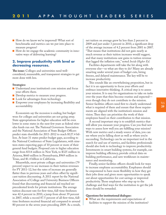- How do we know we've improved? What sort of benchmarks and metrics can we put into place to measure progress?
- How do we engage the academic community in innovative ways of delivering learning?

# **2. Improve productivity with level or decreasing resources.**

**The issue:** Colleges and universities need wellconsidered, measurable, and transparent strategies to get more done with less.

#### **Strategies:**

- Understand your institution's core mission and focus your efforts there.
- Develop metrics to measure your progress.
- Look for advantages from technology.
- Empower your employees by increasing flexibility and accountability.

Economists say the recession is ending, but budget woes for colleges and universities are not going away. State appropriations for higher education will be even lower in some states in the next few years as federal stimulus funds run out.The National Governors Association and the National Association of State Budget Officers predict state shortfalls for 2011-2012 to reach \$127.4 billion. At least 31 states predict budget gaps, according to the National Conference of State Legislatures, with nineteen states expecting gaps of 10 percent or more of their general fund budgets. Proposed cuts to higher education range from \$314 million in New York, to \$325 million in Arizona, \$660 million in Pennsylvania, \$969 million in Texas, and \$1.4 billion in California.

Meanwhile, most private colleges and universities (79 percent) expect to see increases in their tuition revenues for FY 2011-12, but the rates of increase are generally flatter than in previous years and often offset by significant tuition discounting. A 2011 report by the National Association of College and University Business Officers found that discounting and financial aid reached unprecedented levels for private institutions.The average tuition discount rate for first-time, full-time freshmen was 42.4 percent in 2010, a jump from about 39 percent in 2007, while a record 87.5 percent of all first-time, fulltime freshmen received financial aid compared to around 80 percent in the seven years preceding 2009. As a result,

net tuition on average grew by less than 2 percent in 2009 and just under 3 percent in 2010, a significant drop of the average increase of 4.2 percent from 2001 to 2007. "That means that institutions did not gain nearly as much revenue as their tuition increases would suggest, and that many institutions saw gains in tuition revenue that lagged the inflation rate," noted *Inside Higher Ed*.

Facilities departments will take the hit along with everyone else—so what are they to do? Many are already smarting under several years of budget cuts, hiring freezes, and delayed maintenance.The key will be to increase productivity.

This sounds like an overwhelming proposition, but in fact it is an opportunity to focus your efforts and embrace innovative thinking. A critical step is to assess your mission.It is easy for organizations to take on tasks over the years that then become routine and expected even though they do not contribute to the mission. Senior facilities officers need first to clearly understand what is required of them and ensure that those requirements are aligned with the institution's mission and vision.Then they can prioritize the work of their employees based on their contribution to that mission.

A second important step is to establish metrics that will allow you measure your progress. Can you find new ways to assess how well you are fulfilling your mission? With new metrics and a steady source of data, you can see where you're falling short as well as where you're succeeding.Technology can be an important tool in the search for and use of metrics, and facilities professionals should also look to technology to improve productivity. Investments in smart building systems, for example, can improve building efficiency, provide critical data on building performance, and save workhours in maintenance and monitoring.

Finally, senior facilities officers should look for ways to increase employee accountability. Employees should be empowered to have more flexibility in how they get their jobs done and given more opportunities to speak out about opportunities for cost savings or improved productivity.Those employees who step up to the challenge and find ways for the institution to get the job done should be rewarded.

#### **Questions for institutional dialogue:**

■ What are the requirements and expectations of facilities to support the mission of the institution?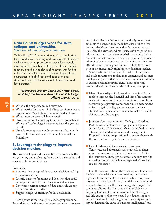# **Data Point: Budget woes for state colleges and universities**

*Situation not improving any time soon*

"While fiscal 2012 may mark a turning point in state fiscal conditions, spending and revenue collections are unlikely to return to prerecession levels for a couple more years in a number of states. The slow economic recovery and the wind-down of Recovery Act funding in fiscal 2012 will continue to present states with an environment of tight fiscal conditions even after significant cuts and the enactment of new taxes and fee increases."

# *—"Preliminary Summary: Spring 2011 Fiscal Survey of States," The National Association of State Budget Officers, May 31, 2011.*

- **30** What is the targeted/desired outcome?
	- What metrics best quantify facilities requirements and expectations? What should be monitored and how?
	- What resources are available to start?
	- How can we use technology to improve productivity? Where will technology investments have the greatest payoff?
	- How do we empower employees to contribute to the process? Can we increase accountability as well as flexibility?

# **3. Leverage technology to improve decision making.**

**The issue:** Colleges and universities need to do a better job gathering and analyzing their data to make solid and consistent business decisions.

#### **Strategies:**

- Promote the concept of data-driven decision making to campus leaders.
- Identify business functions and decisions that could be supported with better data access and analysis.
- Determine current sources of data and evaluate any barriers to using that data.
- Support employee training for data evaluation.

Participants at the Thought Leaders symposium believed that data is the great untapped resource of colleges and universities.Institutions automatically collect vast amounts of data, but they make little use of it to drive business decisions. Even more data is uncollected and unusable.The savviest and most successful corporations rely on their data to understand their customers, deliver the best products and services, and streamline their operations. Colleges and universities that embrace this same attitude would have a powerful tool to help them compete in the increasingly tight higher education market.

Some institutions have seen the value of their data and made investments in data management and business intelligence systems that have achieved significant results in cutting costs, identifying trends and supporting business decisions. Consider the following examples:

- Miami University of Ohio used business intelligence tools to improve the financial viability of its summer academic programs. By combining information from accounting, registration, and financial aid systems, the university gained a big-picture view of summer students and courses and was able to make critical decisions to cut the budget.
- Johnson County Community College in Overland Park, Kansas, implemented a project management system for its IT department that has resulted in more efficient project development and management. Proposed projects are prioritized to ensure those with the greatest impact get the most attention.
- Lincoln Memorial University in Harrogate, Tennessee, used advanced statistical tools to determine the most successful recruitment strategies for the institution. Strategies believed to be sure-fire hits turned out to be duds, while unexpected efforts had remarkable results.

For all these institutions, the first step was to embrace the idea of data-driven decision making.Without a high-level commitment to data as a critical tool, these projects will never get off the ground. One way to build support is to start small with a manageable project that can have solid results.That's why Miami University began by looking at summer session data."Having a real-life example of how we could use data to support decision making helped the general university community understand the value of business intelligence,"said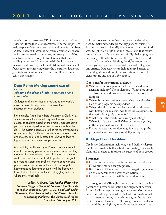Beverly Thomas, associate VP of finance and associate treasurer."It made it less theoretical." Another important early step is to identify areas that could benefit from better data.These will often be activities or functions where the institution needs to cut costs, improve productivity, or solve a problem. For Johnson County, that meant tackling widespread frustration with the IT project management process; for Lincoln Memorial, this meant focusing on recruitment, where the institution had set a goal to become more selective and enroll more highachieving students.

# **Data Point: Making smart use of data**

# *Adapting the ideas of today's savviest online companies*

Colleges and universities are looking to the world's most successful companies to improve their interactions with students.

For example, Austin Peay State University in Clarksville, Tennessee recently unveiled a system that recommends courses to students based on their major, past academic performance and performance of other students in the class. The system operates a lot like the recommendation systems used by Netflix and Amazon to promote books and movies, and in early tests it has shown to lead to higher grades and fewer dropped classes.

Meanwhile, the University of Phoenix recently rebuilt its entire learning platform from scratch, incorporating many of the innovations of social networking sites as well as a complex, in-depth data platform. The goal is to create a system that profiles student behavior and personalizes how individual students are taught. Recommended learning activities will be based on how students learn, what they're struggling with and where they need help.

*— Jeffrey R. Young, "The Netflix Effect: When Software Suggests Students' Courses,"* **The Chronicle of Higher Education***, April 10, 2011 and Josh Keller, "Borrowing From Tech Industry, U of Phoenix Rebuilds Its Learning Platform,"* **The Chronicle of Higher Education***, February 6, 2011.*

Often colleges and universities have the data they need to make better decisions, they just aren't using it. Institutions need to identify their stores of data and find ways to get it out of its silos and into a form that makes sense for users.This can be a technically challenging task, and rarely will institutions have the right staff on hand to do it all themselves. Finding the right vendors with whom you can partner is essential for most colleges and universities. Data experts can help identify barriers to data integration and point the institution to more efficient capture and use of information.

#### **Questions for institutional dialogue:**

- Who on campus supports the idea of data-driven decision making? Who is skeptical? What core group of advocates could promote the concept across the campus?
- Where is the institution already using data effectively? Can these programs be expanded?
- What critical issues or problems could be addressed with better data analysis? Are these issues essential to the institution's goals or mission?
- What data is the institution already collecting? Where is this data stored? What barriers are getting in the way of making use of this data?
- Do we have trusted vendors to guide us through the process of adopting business intelligence systems?

# **4. Align IT and facilities.**

**The Issue:** Information technology and facilities departments need to do a better job of coordinating their goals, plans and projects to improve the success of both groups.

#### **Strategies:**

- Determine what is getting in the way of facilities and IT working more closely together.
- Reach out to IT managers and staff to gain agreement on the importance of better coordination.
- Develop processes that will improve alignment.

Throughout the Thought Leaders symposium, the importance of better coordination and alignment between IT and facilities kept returning as a theme. Most attendees could cite a project where lack of coordination had costly, time-consuming, stress-inducing results. Participants described having to drill through concrete walls to add conduits and fighting over closet space needed both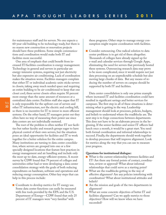for maintenance staff and for servers. No one expects a 60-year-old building to be technology ready, but there is no reason new construction or renovation projects should have these problems. Some simple communications and coordination would make both IT and facilities more successful.

One area of emphasis that could benefit from increased IT/facilities coordination is energy management. Technology in general and servers in particular are energy-intensive systems, requiring not just electricity but also expensive air conditioning. Lack of coordination makes the situation worse. Facilities managers complain that either IT or individual academic units sticks servers in closets, taking away much needed space and requiring an entire building to be air-conditioned to keep that one closet cool; these server closets often require 50 percent more energy than the same amount of resources at a centralized data center. Facilities staff also argue that IT is only responsible for the upfront cost of servers and other IT infrastructure, not the electric and cooling bill, so there is no incentive for IT to invest in more efficient systems. On the other hand, IT managers point out they often have no way of measuring their power use since data centers are not individually metered.

The root of the problem is often neither IT nor facilities but rather faculty and research groups eager to have physical control of their own servers, but the situation poses an ideal opportunity for facilities and IT to work together for a better solution for the entire campus. Many institutions are turning to data center consolidation, where servers are grouped into one or a few specially designed locations that feature best practices in energy management and air handling and include only the most up-to-date, energy-efficient systems. A recent survey by CDW found that 79 percent of colleges and universities either had or were developing a data center consolidation strategy with the goals of both reducing expenditures on hardware, software and operations and reducing energy consumption. Other key steps that can help in this process include:

■ Coordinate to develop metrics for IT energy use. Some data center functions can easily be measured with free tools provided by the EPA and the U.S. Department of Energy—CDW found that only 25 percent of IT managers were "very familiar" with

these programs. Other steps to manage energy consumption might require coordination with facilities.

■ Consider outsourcing. One radical solution to data center problems is to get rid of them altogether. Thousands of colleges have already signed up for e-mail and calendar services through Google Apps, eliminating the need for servers that previously hosted these systems. Outsourcing research data may prove to be more complicated, since it would require not just data processing on an unpredictable schedule but also moving large chunks of data. But any means of reducing the number of servers on campus should be supported by both IT and facilities.

Data center consolidation is only one prime example where increased IT and facilities coordination could have resulted in significant savings and better services for campuses.The first step in all of these situations is determining what is getting in the way. Leadership management should look at processes, policies, budgets, and beliefs to understand where the roadblocks are.The next step is to forge connections between departments. This does not have to be an elaborate process in the beginning.If the senior facilities and senior IT officers had lunch once a month, it would be a great start. You need both formal coordination and informal relationships to succeed. Finally, the departments should work together to develop processes that will improve alignment. Look for metrics along the way that you can use to measure your progress.

#### **Questions for institutional dialogue:**

- What is the current relationship between facilities and IT? Are there any formal points of contact, coordination, review or approval? What about informal relationships that could serve as a starting point?
- What are the roadblocks getting in the way of effective alignment? Are any policies interfering with coordination? What about institutional attitudes and beliefs?
- Are the mission and goals of the two departments in alignment?
- What are some concrete objectives of better IT and facilities alignment? Can we apply metrics to those objectives? How will we know when we have succeeded?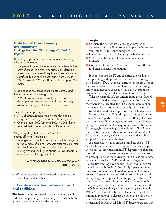# **Data Point: IT and energy management**

# *Findings from the 2010 Energy Efficient IT Report*

IT managers place increased importance on energyefficient technology

• The percentage of IT managers who believe that energy efficiency is a very important consideration when purchasing new IT equipment has rebounded significantly during the past year – from 34% in 2008, down to 26% in 2009 and back up to 39% in 2010

Organizations are consolidating data centers and innovating to reduce energy use

• 79% of organizations currently have or are developing a data center consolidation strategy. Many cite energy reduction as a top driver.

Their efforts are paying off

- 74% of organizations have or are developing programs to manage and reduce IT energy use
- Of this group, 56% (up from 39% in 2008) have reduced their IT energy costs by 1% or more

Still, many struggle to allocate funds for energy-efficient IT programs

• Managers explain that they have too little budget left for new, more efficient IT systems after meeting internal client demands. They also find that senior management gives higher priority to investments in other areas of the organization

> *—"CDW-G 2010 Energy Efficient IT Report," CDW-G, 2010.*

■ What processes and policies need to be revised to make alignment a reality?

# **5. Create a new budget model for IT and facilities.**

**The Issue:**Institutions need to coordinate not just IT and facilities planning but also budgets to ensure both groups are working toward the same goals.

#### **Strategies:**

- Evaluate the current level of budget integration between IT and facilities—for example, are incentives available to IT to reduce energy costs?
- Understand barriers to changing the budget model.
- Seek buy-in from both IT and administration leadership.
- Consider interim steps that could help prove the need for better financial integration.

It is not enough for IT and facilities to coordinate their planning and operations; they also need to align their budgets.Today, at most institutions, the finances of the two departments are completely separate, creating unintended negative consequences that can get in the way of improving the effectiveness of both groups.

Take the example of data centers from above. Part of the problem cited at many colleges and universities is that there is no incentive for IT to spend more money for energy efficient systems. Relatively cheap servers distributed around the campus cost the IT budget very little—or, in fact, cost IT nothing at all because they are funded from department budgets—but they put a huge drain on the facilities budget. Conversely, consolidated, energy-saving data centers require investment from the IT budget, but the savings to the electric bill will help the facilities budget.If there is no financial incentive for IT to invest in energy efficiency, why would a cashstrapped IT department bother?

A better solution is to create a link between the IT and facilities budgets so that savings in one area help everyone. At some institutions,IT departments that can prove their purchases save money on operational costs can recoup some of those savings—but this is quite rare. A recent survey by ECAR found few colleges and universities offering any financial incentives for environmental sustainability initiatives. Only 9 percent offered incentives for adopting alternative sources of electrical power, 5. 7 percent for minimizing growth in electrical energy usage and 3 percent for complying with LEED standards.The survey also found that IT is often only marginally involved in green initiatives on campus and rarely have measurable goals for increasing sustainability. While 53 percent of institutions had a stated goal of minimizing growth in electrical energy use, only 35 percent had a system in place to measure their progress; 47 percent had no goal at all. Most IT directors are striving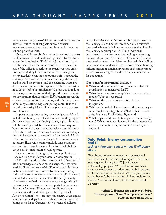to reduce consumption—75.1 percent had initiatives underway—but without set goals or any financial incentives, these efforts may stumble when budgets are cut and priorities shift.

One model for combining not just the efforts but also the finances of IT and facilities is provided by Stanford, where the Sustainable IT office is a joint effort of both facilities and IT and reports to both departments.The goal of the office is to reduce the greenhouse gas emissions generated by IT infrastructure by reducing the energy needed to run the computing infrastructure, the cooling needed to keep equipment running, the energy used to build the systems, and the electronic waste produced when equipment is disposed of. Since its creation in 2008, the office has implemented programs to reduce the energy consumption of desktop and laptop computers, saving more than 2 million kWh/year, improved the efficiency rating of its data centers, and is in the process of building a cutting-edge computing center that will save the university \$3.2 million per year in energy costs over 25 years.

Important steps in creating a new budget model will include identifying critical stakeholders, building support for the concept, and developing strategic goals for what is to be accomplished. Such a major shift will require buy-in from both departments as well as administrators across the institution. A strong financial case for integration will be essential, so research will be needed. A look at the constraints that are getting in the way will also be necessary.These will certainly include long-standing organizational structures as well as firmly held beliefs about how the institution should operate.

This process will be lengthy, but some preliminary steps can help to make your case. For example, the ECAR study found that the majority of IT directors had little knowledge as to how much energy their systems used. Facilities can work with IT to uncover this information in several ways. One instrument is an energy audit: while some colleges and universities (40.5 percent) conducted at least partial audits in the past year, only 12.4 percent audited their entire energy usage. Many IT professionals, on the other hand, reported either no audits in the last year (28.9 percent) or did not know whether an audit had taken place. (28.2 percent). Another solution is to start metering energy usage and at least informing departments of their consumption if not billing them for it. Currently, 83.7 percent of colleges

and universities neither inform nor bill departments for their energy use: 9.4 percent were not billed but were informed, while only 3.3 percent were actually billed for their energy consumption.If IT and individual departments knew how much technology was costing the institution—and themselves—they would be more motivated to take action. Metering is a task that facilities departments can undertake on their own: it can have significant impact in convincing others of the importance of both working together and creating a new structure for budgeting.

#### **Questions for institutional dialogue:**

- What are the unintended consequences of lack of coordination or incentives for IT?
- What do we want to accomplish with a new budget model? What are our goals?
- What are the current constraints to better integration?
- Who are the stakeholders who would be necessary to achieving better integration? What is their current attitude toward IT/facilities alignment?
- What steps would need to take place to achieve alignment? What model would work for the campus? Are incentives an option? A joint office? A new system entirely?

## **Data Point: Energy consumption and IT**

# *Lack of information seriously hurts IT efficiency efforts*

"The absence of metrics about our own electrical power consumption is one of the biggest barriers we face in getting heavily into ES [environment sustainability] projects. We don't know how much electricity we use now; we don't see the bills because our facilities aren't sub-metered. We can guess at our usage, but we'd be much better off if we could see the numbers." – Sharon Blanton, CIO of Portland State University.

*—Mark C. Sheehan and Shannon D. Smith, "Powering Down: Green IT in Higher Education," ECAR Research Study, 2010.*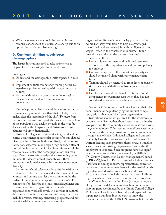■ What incremental steps could be used to inform campus leaders about the issues? Are energy audits an option? What about sub-metering?

# **6. Confront shifting workforce demographics.**

**The Issue:** Institutions need to take active steps to prepare for an increasingly diverse workforce.

#### **Strategies:**

- Understand the demographic shifts expected in your region.
- Implement cultural competency training before you experience problems dealing with race, ethnicity or culture.
- Partner with others in your community or region to increase recruitment and training among diverse populations.

The college and university workforce of tomorrow will be significantly more diverse than that of today. Research makes clear the magnitude of the shift.To recap from previous sections of this report, the caucasian proportion of the population will decline steadily in the next few decades, while the Hispanic- and Asian-American populations will grow dramatically.

How will colleges and universities in general and facilities departments in particular prepare for this change? Demographic shifts are highly localized, and the transformations expected in one region may be very different from those in another. Senior facilities officers would be wise to take a look at the demographics of their own area: Does the workforce reflect the surrounding community? If it doesn't now, it probably will. These campuses should make extra effort to prepare for more diversity.

Institutions should also consider attitudes within the workforce.It's better to assess and address issues of race, ethnicity and culture than let them simmer under the surface. Human resources experts use the term "cultural competence"to describe the skills, attitudes, policies and structures within an organization that enable that organization to work effectively in a context of cultural differences. Efforts to increase cultural competence can include diversity training, mentoring programs, and partnerships with community and social service

organizations. Research on a six-city program by the Annie E. Casey Foundation to help disadvantaged, low-skilled workers secure jobs with family-supporting wages—often in the construction industry—found several steps critical to the success of cultural competency efforts:

- Leadership commitment and dedicated resources demonstrated the importance of cultural competency to employees.
- Cultural competence efforts must be a priority and should be tracked along with other management tasks.
- Training should be extended to front-line supervisors since they deal with diversity issues on a day-to-day basis.
- Employers reported they benefitted from cultural competency interventions even when they had not considered issues of race or ethnicity a problem.

Senior facilities officers should reach out to their HR departments for help identifying the cultural competency efforts that would help your organization.

Institutions should not just wait for the workforce to become more diverse; they should reach out to minority groups within the community and strive to attract a wide range of employees. Often recruitment efforts need to be combined with training programs to ensure workers have the right mix of skills.Individual colleges and universities rarely have the resources or the level of demand to warrant creating such programs themselves, so it makes sense to seek out existing programs or team with other employers in your area. Such programs have had significant results in some cities. For example, in 2010 the Tri-County Construction Labor-Management Council (TRICON), based in Peoria, convened a Labor Shortage Taskforce including industry representatives, education leaders and community members with the goal of building a diverse and skilled construction workforce. Programs underway include outreach to area middle and high schools to educate students on careers in construction,Women in Construction Days (a program targeted at high-school girls), a new construction pre-apprenticeship program coordinated by the Illinois Central College Professional Development Institute, and expanded training in green building.It is too early to know the long-term results of the TRICON program, but it holds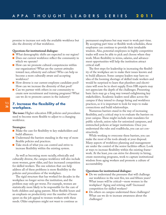promise to increase not only the available workforce but also the diversity of that workforce.

#### **Questions for institutional dialogue:**

- What demographic shifts are expected in our region?
- Does our current workforce reflect the community in which we operate?
- How can we promote cultural competencies within our organization? What are the current attitudes toward race, ethnicity and culture? Who can help us become a more culturally aware and accepting workforce?
- How diverse is our current employee candidate pool? How can we increase the diversity of that pool?
- Can we partner with others in our community to create new recruitment and training programs? What can we do to promote careers in the industry?

# **7. Increase the flexibility of the workplace.**

**The issue:** Higher education HR policies and procedures need to become more flexible to adjust to a changing workforce.

#### **Strategies:**

- Make the case for flexibility to key stakeholders and build alliances.
- Understand the barriers standing in the way of more flexible policies and practices.
- Take stock of what you can control and strive to increase flexibility within the existing system.

As well as becoming more racially, ethnically and culturally diverse, the campus workforce will also include more women, grow older, and face increased competition for skilled workers.The one solution that can help address all of these problems is more flexibility in the policies and procedures of the workplace.

The rigid structure that has worked for decades in the workplace no longer serves the institution, and the problem may only get worse. For example, women are statistically more likely to be responsible for the care of both children and aging parents. More flexible hours and an emphasis on productivity over the number of hours spent on the job appeal to women workers with these needs. Older employees might not want to continue as

permanent employees but may want to work part-time. By accepting part-time or flexible work schedules, these employees can continue to provide their invaluable wisdom. Also, potential employees in highly competitive trades will soon be able to pick and choose where they work. More flexibility in terms, salaries, and advancement opportunities will help the institution attract critical staff.

The first steps for leadership in increasing the flexibility of the workplace are to make their issues known and to build alliances. Some campus leaders may have no idea of the looming shortage of skilled trade workers and would be surprised to learn that plumbers and electricians will soon be in short supply. Even HR experts may not appreciate the depth of the challenges. Presenting basic facts may go a long way toward enlightening key stakeholders. Academic leaders need allies across the campus if they intend to change hiring and workforce practices, so it is important to look for ways to make connections and build relationships.

Numerous barriers stand in the way of increasing flexibility, and a critical step is to evaluate the barriers on your campus.These might include state mandates for public schools, union rules for unionized campuses, and entrenched policies at larger institutions. Once you understand the rules and roadblocks, you can act constructively.

While working to overcome these barriers, you can make the most of the tools already at your disposal. Many aspects of workforce planning and management are under the control of the senior facilities officer. Look at ways to increase flexibility within the existing framework. At the least, you can strive for diversity in hiring, create mentoring programs, work to capture institutional wisdom from aging workers and promote a culture of accountability.

#### **Questions for institutional dialogue:**

- Do we understand the pressures that will challenge our workforce in the next five, ten and fifteen years? What issues will be critical—more women in the workplace? Aging and retiring staff? Increased competition for skilled workers?
- Do others on campus understand these challenges? What can we do to increase awareness about the challenges?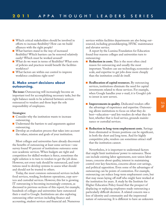- Which critical stakeholders should be involved in efforts to increase flexibility? How can we build alliances with the right people?
- What barriers stand in the way of increased flexibility? Which barriers can be removed relatively easily? Which must be worked around?
- What do we want in terms of flexibility? What sorts of policies and practices would benefit the facilities workforce?
- What factors are within our control to improve workforce conditions right now?

# **8. Make smart decisions about outsourcing.**

**The issue:** Outsourcing will increasingly become an important tool for accomplishing necessary tasks, but the right balance needs to be achieved between services outsourced to vendors and those kept the sole responsibility of employees.

#### **Strategies:**

- Consider why the institution wants to increase outsourcing.
- **■** Understand the barriers to and arguments against outsourcing.
- Develop an evaluation process that takes into account the values, mission and goals of your institution.

Most colleges and universities have already discovered the benefits of outsourcing at least some services—one survey found 95 percent of institutions outsource some non-academic services.When budgets are tight and competition for skilled workers is fierce, sometimes the right solution is to turn to vendors to get the job done. However, not every task should be outsourced, and institutions need to develop systems to assess what should and should not be trusted to others.

Today, the most common outsourced services include food services, vending, bookstore operations, copy services and custodial services. However, this list is growing. IT outsourcing is becoming increasingly common, as discussed in previous sections of this report; for example, hundreds of colleges and universities have outsourced their e-mail to Google.Institutions are also exploring outsourcing other services including finance and accounting, student services and financial aid. Numerous

services within facilities departments are also being outsourced, including groundskeeping, HVAC maintenance and elevator service.

A report by the Lumina Foundation for Education found four reasons colleges and universities turn to outsourcing:

- **Reduction in costs.** This is the most often cited reason for outsourcing and usually the most important. Vendors can use technology, economies of scale, and expertise to get jobs done more cheaply than the institution could do itself.
- **Reallocation of capital resources.** By outsourcing services, institutions eliminate the need for capital investments related to those services. For example, when Google handles your e-mail, it is Google's job to invest in new servers.
- **Improvements in quality.** Dedicated vendors offer the advantage of experience and expertise. Outsourcing allows institutions to focus on what they do best—education—and lets vendors do what they do best, whether that is food service, grounds maintenance or custodial services.
- **Reduction in long-term employment costs.** Savings from eliminated or frozen positions can be significant, in both the short and long term. And for highly competitive jobs, vendors can sometimes attract staff that the institution cannot.

Nevertheless, it is important to understand factors that might limit institutions' power to outsource.These can include existing labor agreements, non-union labor issues, concerns about quality, interest in maintaining control over key functions, concerns about cost savings, and political opposition. Even some of the advantages of outsourcing can be points of contention. For example, outsourcing can reduce long-term employment costs, but that may mean laying off staff who might have worked at the institution for years. A study by the Institute for Higher Education Policy found that the prospect of displacing or replacing employees made outsourcing a particularly difficult decision. A related concern was a loss of identity and community and the impersonal nature of outsourcing.It is different to have an unknown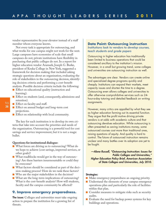vendor representative fix your elevator instead of a staff member whom everyone knows.

Not every task is appropriate for outsourcing, and what works for one campus might not work for the next. Large campuses have economies of scale that small campuses do not; private institutions have flexibility in purchasing that public colleges do not.In a report for higher education vendor Aramark, Joseph G. Burke, president of Keuka College in New York, suggested a framework for decision making that included asking strategic questions about an organization, evaluating the role of stakeholders in the outsourcing decision, identifying decision criteria and performing a cost-benefit analysis. Possible decision criteria include the following:

- Effect on educational quality (instruction and learning).
- Effect on students (and, consequently, admissions and retention).
- Effect on faculty and staff.
- Effect on annual budget and long-term cost projections.
- Effect on relationship with local community.

The key for each institution is to develop its own criteria that take into account the priorities and needs of the organization. Outsourcing is a powerful tool for cost savings and service improvement, but it is not a magic bullet.

#### **Questions for institutional dialogue:**

- What forces are driving us to outsourcing? What do we hope to achieve (cost savings, improved services, or other goals)?
- What roadblocks would get in the way of outsourcing? Are these barriers insurmountable or could they be overcome?
- What factors should be considered as part of the decision-making process? How do we rank these factors?
- Who are the major stakeholders in the decision?
- What are the long-term implications of outsourcing? What is the cost-benefit analysis? How will students, faculty and the campus community be affected?

### **9. Improve emergency preparedness.**

**The issue:** Colleges and universities must take ongoing action to prepare the institution for a growing list of threats.

### **Data Point: Outsourcing instruction** *Institutions look to vendors to develop courses, teach students and grade papers*

Outsourcing in higher education has traditionally been limited to business operations that could be considered ancillary to the institution's mission. However, in a small but growing trend, some colleges and universities are outsourcing instruction as well.

The advantages are clear. Vendors can create online and specialized degree programs quickly and cheaply. Institutions can expand their markets, meet capacity issues and shorten the time to a degree. Outsourcing even allows colleges and universities to offer otherwise cost-prohibitive services such as 24 hour-a-day tutoring and detailed feedback on writing assignments.

However, many critics are appalled by what they see as higher education farming out its essential function. They argue that the profit motive driving private vendors is at odds with academic culture and that outsourcing devalues education. While outsourcing is often presented as saving institutions money, some outsourced courses cost more than traditional ones, raising questions of equity. And quality is hard to control. The future of outsourced instruction remains unclear and many battles over its adoption are yet to be fought.

*—Alene Russell, "Outsourcing Instruction: Issues for Public Colleges and Universities," Higher Education Policy Brief, American Association of State Colleges and Universities, July 2010.*

#### **Strategies:**

- Make emergency preparedness an ongoing priority.
- Understand the elements of your campus emergency operations plan and particularly the role of facilities within that plan.
- Consider measures to mitigate risks such as security audits.
- Evaluate the need for backup power systems for key buildings and operations.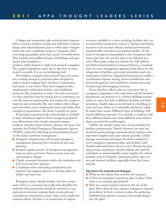Colleges and universities take seriously their responsibility to protect students, faculty, and staff from criminal danger and natural disasters, but no other type of organization has such a challenge doing so. Campuses often cover large geographic areas that cannot be locked down. They include many different types of buildings and operations, from hospitals to residence halls, theaters to high-tech research complexes.

The campus population varies day to day, hour to hour, month to month.It is an overwhelming task.

Nevertheless, campuses have poured time and money into creating emergency response plans designed to address threats ranging from terrorism to pandemics, hurricanes to sex crimes. They have mitigated risks, implemented notification systems, and established protocols.The temptation to relax a bit and concentrate on other priorities must be strong, but no institution can ever file away its response plan and assume the campus is ready for any eventuality.The new reality is that colleges and universities must continuously assess and refine their emergency preparations.The threat is simply too great.

Fortunately, a growing body of knowledge is available to help institutions improve their emergency preparedness. Researchers have closely examined campus incidents and discovered common themes and issues. For example, the Federal Emergency Management Agency (FEMA) makes the following recommendations based on the study of previous emergencies:

- Integrate comprehensive, all-hazards emergency management planning into overall local and state planning.
- Institute regular practice of emergency management response plans and revise them as issues arise and circumstances change.
- **■** Clarify command structures within the institution and with local and state agencies.
- Coordinate with surrounding jurisdictions and response and support agencies to develop plans for shelter and mass care.

Emergency plans should include a few key components. One is a communication plan that identifies the network of personnel who should be involved in communications decision making; hasty, incoherent and contradictory information creates chaos and complicates response efforts. Another is an assessment of campus

resources available in a crisis, including facilities that can accommodate information centers or shelters and human resources such as police officers, medical professionals, mental health counselors and spiritual leaders. At the heart of emergency preparedness is the emergency operations plan that sets out the steps to be followed in a crisis. Many plans today incorporate the well-defined and field-tested Incident Command System, a standardized, on-scene management approach that allows for the integration of facilities, personnel, procedures and communications within an organizational structure; enables a coordinated response among various jurisdictions and functional agencies; and establishes common processes for planning and managing resources.

Senior facilities officers play an important role in emergency preparation. One important task the facilities department can perform is to conduct building security audits to assess the risks to different facilities and their operations. Audits take an overall look at a building, its users and uses, where it is vulnerable and how it might be made more secure. Different types of buildings will require different responses. For example, a residence hall faces different threats and needs different interventions than a research lab would require.

Utilities are another major area of responsibility for facilities professionals. Natural disasters can wipe out electrical power, damage communications systems, interrupt water supplies and cause natural gas leaks. Utility damage assessment and repair should be included in every emergency operations plan, and facilities staff should understand their role in a crisis. During the planning process, institutions should evaluate the need for redundant or uninterruptable power supplies for critical facilities such as hospitals, command centers, data centers and research facilities, especially those that house animals.

#### **Questions for institutional dialogue:**

- What are the threats that confront the campus?
- Is there an emergency operations plan in place? How often is it reviewed and updated?
- How are campus leaders trained in the use of the plan? How often do they practice emergency response procedures? Is there a system in place for gathering feedback from practice sessions and incorporating it into the plan?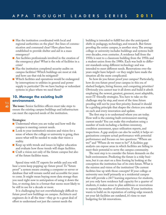- Has the institution coordinated with local and regional authorities on the plan? Are lines of communication and command clear? Have plans been established to provide shelter and aid in a mass emergency?
- Are facilities professionals involved in the creation of the emergency plan? What is the role of facilities in a crisis?
- Has the institution completed security audits on campus facilities? Which buildings are most at risk and how can that risk be mitigated?
- Which facilities and operations would be endangered by interruptions to utilities in general and power supply in particular? Do we have backup or redundant systems in place where we need them?

# **10. Manage the existing built environment.**

**The issue:** Senior facilities officers must take steps to ensure the existing campus buildings and infrastructure can meet the expected needs of the institution.

#### **Strategies:**

- Understand where you are today and how well the campus is meeting current needs.
- Look to your institution's mission and vision for a sense of where the college or university is going, then assess what will be needed to make that vision a reality.
- Keep up with trends and issues in higher education and evaluate how those trends will shape facilities.
- **■** Craft a vision not only of the future campus but also of the future facilities team.

Spend time with IT experts for awhile and you will hear a term keep popping up: future proof.To "future proof" a system means creating a computer or server or database that will remain useful and accessible for years to come.It might mean buying more data storage than you need right now in anticipation of using it down the line, or storing data in a format that seems most likely to be still in use for a decade or more.

It is challenging but not overwhelmingly difficult to future proof new buildings on campus. Architects and engineers do it all the time—they go to a great deal of effort to understand not just the current needs the

building is intended to fulfill but also the anticipated shifts in pedagogy, technology, and research. But future proofing the entire campus, is another story.The average college or university includes buildings and systems built over decades, even centuries. A residence hall from the 1930s is next to a classroom building from the 1950s and a student union from the 1980s. Each was built to different standards using different technology and was intended to meet different needs. Renovations over the years might have helped—or they might have made the situation all the more complicated.

So how do you future proof your campus? Particularly, how do you future proof your campus in this era of slashed budgets, hiring freezes, and competing priorities? Obviously you cannot tear it all down and build it afresh employing the newest, greatest, greenest, most adaptable, most IT-friendly strategies. You have to take on the challenge step by step, and most of the time future proofing will not be your first priority.Instead it should be a guiding principle that shapes the choices you make on each and every renovation and update.

The first step is to understand where you are today. How well is the existing built environment meeting current needs? You can make this evaluation using a number of tools including a facilities inventory, condition assessment, space utilization reports, and inspections. A gap analysis can also be useful; it helps organizations compare actual performance with potential performance and focuses on two questions: "Where are we?" and "Where do we want to be?" A facilities gap analysis can expose areas in which facilities are failing to meet their potential to serve the campus community.

The next step is to consider the future demands on the built environment. Predicting the future is a risky business, but it can start on a firm footing by looking at the conception the institution has of its own future.What is the mission and vision of the institution? Do current facilities line up with those concepts? If your college or university sees itself primarily as a residential campus that will provide a 24/7 learning experience for students, yet you only have residence hall capacity for a quarter of students, it makes sense to plan additions or renovations to expand the number of dormitories.If your institution wants to build on its reputation of cutting-edge research yet your lab facilities are outdated, it's time to start budgeting for lab renovations.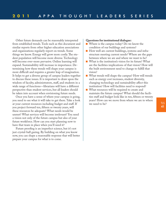Other future demands can be reasonably interpreted from established trends.Tools such as this document and similar reports from other higher education associations and organizations regularly report on trends. Some things we know. Energy will grow more costly.The student population will become more diverse. Technology will become ever-more pervasive. Online learning will expand. Sustainability will increase in importance. Determining how these trends will shape your campus is more difficult and requires a greater leap of imagination. It helps to get a diverse group of campus leaders together to discuss these issues.It is important to draw upon the wisdom of faculty, administrators, staff, and students in a wide range of functions—librarians will have a different perspective than student services, but all leaders should be taken into account when envisioning future needs.

Once you have a sense of where your campus is going, you need to see what it will take to get there.Take a look at your current resources including budget and staff.If you project forward ten, fifteen or twenty years, will these resources be adequate? What needs would be unmet? What services will become irrelevant? You need a vision not only of the future campus but also of your future workforce. How can you start planning now to have that team in place when you'll need it?

Future proofing is an imperfect science, but it's not just crystal-ball gazing. By building on what you know now, you can shape a reasonable response that will better prepare your campus for what is to come.

#### **Questions for institutional dialogue:**

- Where is the campus today? Do we know the condition of our buildings and systems?
- How well are current buildings, systems and infrastructure meeting current needs? Where are the gaps between where we are and where we want to be?
- What is the institution's vision for its future? What are the facilities implications of that vision? How will the built environment need to change to fulfill that vision?
- What trends will shape the campus? How will trends such as energy cost increases, student diversity, changing technology and sustainability affect this institution? How will facilities need to respond?
- What resources will be required to create and maintain the future campus? What should the facilities staff and budget look like in ten, fifteen or twenty years? How can we move from where we are to where we need to be?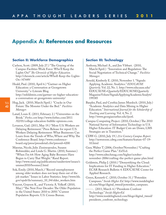# **Appendix A: References and Resources**

# **Section II: Workforce Demographics**

- Carlson, Scott. (2009, July 27.) "The Graying of the Campus-Facilities Work Force: Who'll Keep the Lights On?"*The Chronicle of Higher Education.* http://chronicle.com/article/Wholl-Keep-the-Lights-On-/47449/
- Heald, Paul. (2010, April 6.) "Gartner on Higher Education: a Conversation at Georgetown University." e-Literate Blog. http://mfeldstein.com/gartner-on-higher-educationa-conversation-at-georgetown-university/
- Hug, Jack. (2010, March/April.) "Cracks in Our Future:The Monster Under the Bed." *Facilities Manager.*
- Lataif, Louis E. (2011, February 2.) "Universities on the Brink."*Forbes.com* http://www.forbes.com/2011 /02/01/college-education-bubble-opinions.com.
- Levanon, Gad. (2011, May 19.) "More U.S.Workers are Delaying Retirement." Press Release for report U.S. Workers Delaying Retirement: What Businesses Can Learn from the Trends of Who,Where and Why.The Conference Board. http://www.conferenceboard.org/press/pressdetail.cfm?pressid=4200
- Maestas, Nicole, Julie Zissimopoulos, Susann Rohwedder, and Linda G. Martin. (2010, Summer.) "When I'm 64: How Aging Baby Boomers Have Begun to Carry That Weight."Rand Report. http://www.rand.org/publications/randreview/issues/s ummer2010/boomer2.html
- Sok, Emily. (2010, March.) "Record unemployment among older workers does not keep them out of the job market."Issues in Labor Statistics. http://www.bls. gov/opub/ils/summary\_10\_04/older\_workers.htm
- Vincent, Grayson K., and Victoria A. Velkoff. (2010, May.) "The Next Four Decades:The Older Population in the United States: 2010 to 2050." Current Population Reports. U.S. Census Bureau.

## **Section III: Technology**

- Anthony, Michael A., and Jim Vibbart. (2010, March/April.) "Innovation and Regulation: The Social Negotiation of Technical Change." *Facilities Manager.*
- Arnold, Kimberly E. (2010, November 1."Signals: Applying Academic Analytics."*EDUCAUSE Quarterly*. Vol. 22, No. 1. http://www.educause.edu/ EDUCAUSE+Quarterly/EDUCAUSEQuarterly MagazineVolum/SignalsApplyingAcademicAnalyti/ 199385
- Baepler, Paul, and Cynthia James Murdoch. (2010, July.) "Academic Analytics and Data Mining in Higher Education."*International Journal for the Scholarship of Teaching and Learning.* Vol. 4, No. 2. http://www.georgiasouther.edu/ijsotl.
- Campus Computing Project. (2010, October.) The 2010 National Survey of Information Technology in U.S. Higher Education: IT Budget Cuts are Down; LMS Strategies are in Transition."
- CDW-G. (2010, July 19.) *21st Century Campus Report*. http://newsroom.cdwg.com/features/feature-07-19- 10.html
- Geer,Walter T. (2006, October/November.) "Crafting the Perfect Game Plan."*EdTech*. http://www.edtechmag.com/higher/octobernovember-2006/crafting-the-perfect-game-plan.html
- Goldstein, Philip J. (2010.) "Demystifying the Cloud: Implications for IT Funding in Higher Education." ECAR Research Bulletin 4. EDUCAUSE Center for Applied Research.
- Green, Kenneth C. (2010, October 31.) "Potemkin Campuses."*Inside Higher Ed.* http://www.insidehigher ed.com/blogs/digital\_tweed/potemkin\_campuses.

------. (2011, March 4.) "Presidents Confront Technology."*Inside HigherEd.* http://www.insidehighered.com/blogs/digital\_tweed/ presidents\_confront\_technology.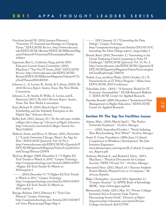- Grochow, Jerrold M. (2010, January/February.) "University IT: Essential and Strategic in Changing Times."*EDUCAUSE Review.* http://www.educause. edu/EDUCAUSE+Review/EDUCAUSEReviewMag azineVolume45/UniversityITEssentialandStrate/ 195814
- Ingerman, Bret L., Catherine Yang, and the 2010 Educause Current Issues Committee. (2010, May/June.) "Top-Ten IT Issues, 2010."*EDUCAUSE Review.* http://www.educause.edu/EDUCAUSE+ Review/EDUCAUSEReviewMagazineVolume45/To pTenITIssues2010/205503
- Johnson, L., A. Levine, R., Smith, & S. Stone, (2010).*The 2010 Horizon Report*. Austin,Texas:The New Media Consortium.
- Johnson, L., R. Smith, H.Willis, A. Levine, and K. Haywood, (2011).*The 2011 Horizon Report.* Austin, Texas:The New Media Consortium.
- Katz, Richard N. (2010, March/April.) "Scholars, Scholarship, and the Scholarly Enterprise in the Digital Age."*Educause Review.*
- Keller, Josh. (2011, January 23.) "As the web goes mobile, colleges fail to keep up."*Chronicle of Higher Education.* http://chronicle.com/article/Colleges-Search-for-Their/126016/
- Malisch, Susan, and Bruce A. Montes. (2011, November 1.) "Loyola University Chicago: There's An App for That."*EDUCAUSE Quarterly.* Vol. 34, No.1. http://www.educause.edu/EDUCAUSE+Quarterly/E DUCAUSEQuarterlyMagazineVolum/LoyolaUniver sityChicagoTheresa/225854
- McCrea, Bridget. (2009, December 9.) "5 Higher Ed Tech Trends to Watch in 2010." *Campus Technology.* http://campustechnology.com/Articles/2009/12/09/5 -Higher-Ed-Tech-Trends-To-Watch-in-2010.aspx?p=1
- ------. (2010, December 9.) "5 Higher Ed Tech Trends to Watch in 2011."*Campus Technology.* http://campustechnology.com/Articles/2010/12/09/5 -Higher-Ed-Tech-Trends-To-Watch-in-2011.aspx?p=1
- Ravage, Barbara. (2011, February 8.) "Tech Gets Physical."*Campus Technology.* http://campustechnology.com/Articles/2011/02/08/T ech-Gets-Physical.aspx?Page=5&p=1

------. (2011, January 31.) "Channeling the Data Deluge."*Campus Technology.* http://campustechnology.com/Articles/2011/01/31/C hanneling-the-Data-Deluge.aspx?sc\_lang=en&p=1

- Sheard, Reed. (2010, November 2.) "Innovating in the Cloud: Exploring Cloud Computing to Solve IT Challenges."*EDUCAUSE Quarterly.* Vol. 33, No. 2. http://www.educause.edu/EDUCAUSE+Quarterly/E DUCAUSEQuarterlyMagazineVolum/Innovatingint heCloudExploringC/206530
- Trubitt, Lisa, and Kent Wada. (2010, October 12.) "A Framework for an IT Policy Program." Slides from EDUCAUSE 2010 Conference.
- Voloudakis, John. (2010.) "A Systemic Model for IT Economic Sustainability." ECAR Research Bulletin 1. EDUCAUSE Center for Applied Research.
- Yanosky, Ronald. (2009, December.) "Institutional Data Management in Higher Education."EDUCAUSE Center for Applied Research.

# **Section IV: The Top Ten Facilities Issues**

- Adams, Matt. (2010, March/April.) "The Perfect University Employee." *Facilities Manager.*
- ------. (2010, September/October.) "Needs Indexing, Then Benchmarking, Now What?" *Facilities Manager.*

Annie E. Casey Foundation. (2006, June.) Cultural Competence in Workforce Development: The Jobs Initiative Experience. www.abtassociates.com/reports/JI\_Cultural\_Compete

nce\_Report.pdf Anthony, Michael A., and Richard J. Davis. (2011, May/June.) "Practical Documents for Campus

- Security: NFPA 730 and 731." *Facilities Manager.*
- Associated Press. (2011, March 24.) "Arizona Students Protest Massive Planned Cuts to 3 Campuses."*The Arizona Republic.*
- Blake, Christopher. (accessed 2011, September 2.) "Campus Security." In APPA's Body of Knowledge (BOK). http://www.appa.org/bok
- Blumenstyk, Goldie. (2011, May 19.) "Private Colleges Increased Aid as Economy Sank,Tuition-Discounting Survey Finds."*Chronicle of Higher Education.*http://chronicle.com/article/Private-Colleges-Increased-Aid/127599/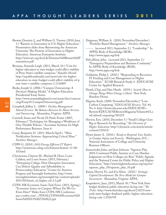- Brewer, Dominic J., and William G.Tierney. (2010, June 3.) "Barriers to Innovation in U.S. Higher Education." Presentation slides from Reinventing the American University: The Promise of Innovation in Higher Education. American Enterprise Institute. http://www.aei.org/docLib/Dominic%20Brewer%20P resentation.pdf
- Brozana, Amanda Leigh. (2011, March 10.) "Cuts for higher education in state budget could affect viability of Penn State's satellite campuses."*Republic Herald.* http://republicanherald.com/news/cuts-for-highereducation-in-state-budget-could-affect-viability-of-p enn-state-s-satellite-campuses-1.1116805
- Burke, Joseph G. (2006.) "Campus Outsourcing: A Decision-Making Model." A Higher Educaiton Presidential Essay Series. http://www.aramarkhighered.com/assets/docs/outsour cing/Essay10-CampusOutsourcing.pdf
- Campbell, Jeffrey L. (2009.) *Facility Management Shared Services:The Balance Between In-House Services and Outsourcing.* Alexandria, Virginia: APPA.
- Cantrell, Susan and Nicole Di Paolo Foster. (2007, February.) "Techniques for Managing a Workforce of One: Flexible Policies." Accenture Institute for High Performance Business.Issue 6.
- Casey, Benjamin D. (2011, March/April.) "Mass Notification Systems: Approaching Critical Mass." *Facilities Manager*.
- CDW-G. (2010.) *2010 Energy Efficient IT Report.* http://newsroom.cdwg.com/features/feature-11-08- 10.html.
- Christensen, Clayton M., Michael B. Horn, Louis Caldera, and Louis Soares. (2011, February.) "Disrupting College: How Disruptive Innovation Can Deliver Quality and Affordability to Postsecondary Education." Center for America Progress and Innosight Institution. http://www. innosightinstitute.org/innosight/wp-content/uploads/ 2011/02/future\_of\_higher\_ed-2.3.pdf
- CUPA-HR Economic Issues Task Force. (2011, Spring.) "Economic Issues on Campus: Where Do We Go From Here?" Slides from CUPA-HR Conference. aacc.confex.com/.../FINALCUPA%20Economic%20 Issues%202011%20(5)%20(2).ppt
- Daigneau,William A. (2010, November/December.) "Portfolio Based Management." *Facilities Manager.*
- ------. (accessed 2011, September 2.) "Leadership." In APPA's Body of Knowledge (BOK). http://www.appa.org/bok
- DeLaHunt, John. (accessed 2011, September 2.) "Emergency Preparedness and Business Continuity." In APPA's Body of Knowledge (BOK). http://www.appa.org/bok
- Goldstein, Philip J. (2010.) "Responding to Recession: IT Funding and Cost Management in Higher Education." ECAR Research Study 4. EDUCAUSE Center for Applied Research.
- Heath, Chip, and Dan Heath. (2010.) *Switch: How to Change Things When Change is Hard.* New York: Random House.
- Hignite, Karla. (2009, November/December.) "Low-Carbon Computing."*EDUCAUSE Review.* Vol. 44, No. 6. http://www.educause.edu/EDUCAUSE+ Review/EDUCAUSEReviewMagazineVolume44/Lo wCarbonComputing/185219
- Hoover, Eric. (2010, December 5.) "Small College Goes Big in Research for Recruiting."*The Chronicle of Higher Education.* http://chronicle.com/article/articlecontent/125612/
- Hyatt, James A. (2010.) *Ready to Respond: Case Studies in Campus Safety and Security.* Washington, D.C.: National Association of College and University Business Officers.
- Immerwahr, John, and Jean Johnson."Squeeze Play 2010: Continued Public Anxiety on Cost, Harsher Judgments on How Colleges are Run." Public Agenda and the National Center for Public Policy and Higher Education." http://www.highereducation.org/reports/ squeeze\_play\_10/squeeze\_play\_10.pdf
- Kaiser, Harvey H., and Eva Klein. (2010.) *Strategic Capital Development:The New Model for Campus Investment.* Alexandria, Virginia: APPA.
- Kasperkevic, Jana. (2011, March 30.) "New York State budget finalized, public education facing cuts."*The Ticker.* http://www.theticker.org/about/2.8215/newyork-state-budget-finalized-public-higher-educationfacing-cuts-1.2526749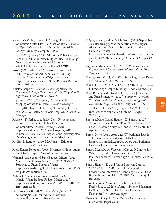- Keller, Josh. (2009, January 9.) "Energy Drain by Computers Stifles Efforts at Cost Control."*Chronicle of Higher Education.* http://chronicle.com/article/ Energy-Drain-by-Computers/3850
- ------. (2011, January 10.) "California's Public Colleges Face \$1.4-Billion in New Budget Cuts."*Chronicle of Higher Education.* http://chronicle.com/ article/Californias-Public-Colleges/125910/
- ------. (2011, February 6.) "Borrowing from Tech Industry, U. of Phoenix Rebuilds Its Learning Platform."*The Chronicle of Higher Education.* http://chronicle.com/article/U-of-Phoenix-Borrows-From/126259/
- Koletar, Joseph W. (2010.) *Rethinking Risk: How Companies Sabotage Themselves and What They Must Do Differently.* New York: AMACOM.
- Loy, Darcy. (2010, May/June.) "Accountability: Stepping Stones to Success." *Facilities Manager*.
- ------. (2011, January/February.) "Hear Me, Oh Hear Me! Are We Listening to Our Employees?" *Facilities Manager.*
- Mathews, F. Neil. (2011, Fall.) "Crisis Response and Recovery Planning in Higher Education Communities."*Disaster Recovery Journal.* http://www.drj.com/2011-articles/spring-2011 volume-24-issue-2/crisis-response-and-recovery-plan ning-in-higher-education-communities.html
- Medlin, E. Lander. (2010, May/June.) "Ethics in Practice." *Facilities Manager.*
- Moss Kanter, Rosabeth. (2006, November.) "Innovation: The Classic Traps." *Harvard Business Review.*
- National Association of State Budget Officers. (2011, May 31.) Preliminary Summary: NGA/NASBO Spring 2011 Fiscal Survey of States. http://www.nasbo.org/LinkClick.aspx?fileticket=IW3 fw0p2k0A%3d&tabid=38
- National Conference of State Legislatures. (2011, March.) "State Budget Update: March 2011." http://www.ncsl.org/documents/fiscal/marchSBU201 1freeversion.pdf
- Park, Roderick B. (2009.) *It's Only the Janitor: A Handbook for New Academic Administrators.* Geyserville, California: Rockpile Press.

Phipps, Ronald, and Jamie Merisotis. (2005, September.) "Is outsourcing part of the solution to the higher education cost dilemma?"Institute for Higher Education Policy.

http://www.aramarkhighered.com/assets/docs/outsour cing/IHEP%20Outsourcing%20White%20Paper%20 9-05.pdf

- Qayoumi, Mohammad H. (2011.) *Benchmarking for Organizational Change, second edition.* Alexandria, Virginia: APPA.
- Ramsey, Ross. (2011, May 28.) "Texas Legislature Passes \$15 Billion in Cuts."*The Texas Tribune.*
- Rerick, Lona. (2011, March/April.) "The Importance of Submetering Campus Buildings." *Facilities Manager.*
- Rose, Rodney, with David A. Cain, James J. Dempsey, and Rich Schneider. (2007.) *Buildings…The Gifts That Keep on Taking: A Framework for Integrated Decision Making.* Alexandria, Virginia: APPA.
- Schafflhauser, Dian. (2010, August 23.) "MIT Adds Intelligence to Ventilation Systems."*Campus Technology.*
- Sheehan, Mark C. and Shannon D. Smith. (2010.) "Powering Down: Green IT in Higher Education." ECAR Research Study 2. EDUCAUSE Center for Applied Research.
- Shine, Conor. (2011, April 21.) "U's buildings have lots of leaks and not enough cash."MN Daily. http://www.mndaily.com/2011/04/21/u's-buildingshave-lots-leaks-and-not-enough-cash.
- Smith, Glenn, Mary Vosevich, Michael O'Connor, Joe Whitefield, and E. Lander Medlin. (2011, January/February.) "Inventing Our Future." *Facilities Manager.*
- Smith, Shannon D., and Judith Borreson Caruso. (2010.) "The ECAR Study of Undergraduate Students and Information Technology, 2010." ECAR Research Study 6. EDUCAUSE Center for Applied Research.
- Tysseling, John C., Audrey Zibelman, and Allen Freifield. (2011, March/April.) "Higher Education Facilities:The SmartGrid Earns a Doctorate in Economics." *Facilities Manager.*
- Vaynerchuk, Gary. (2011.) *The Thank You Economy.* New York: Harper Collins.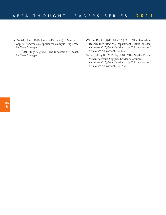- Whitefield, Joe. (2010, January/February.) "Deferred Capital Renewal as a Spoiler for Campus Programs." *Facilities Manager.*
- ------. (2011, July/August.) "The Innovation Mindset." *Facilities Manager.*
- Wilson, Robin. (2011, May 15.) "As UNC-Greensboro Readies for Cuts, One Department Makes Its Case." *Chronicle of Higher Education.* http://chronicle.com/ article/article-content/127539/

Young, Jeffrey R. (2011, April 10.) "The Netflix Effect: When Software Suggests Students' Courses." *Chronicle of Higher Education.* http://chronicle.com/ article/article-content/127059/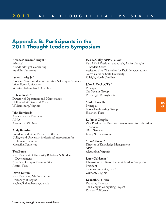# **Appendix B: Participants in the 2011 Thought Leaders Symposium**

**Brenda Norman Albright \*** Principal Brenda Albright Consulting Franklin,Tennessee

**James E. Alty Jr. \*** Assistant Vice President of Facilities & Campus Services Wake Forest University Winston-Salem, North Carolina

**Robert Avalle \*** Director of Operations and Maintenance College of William and Mary Williamsburg, Virginia

**John Bernhards \*** Associate Vice President APPA Alexandria, Virginia

**Andy Brantley** President and Chief Executive Officer College and University Professional Association for Human Resources Knoxville,Tennessee

**Teri Bump** Vice President of University Relations & Student Development American Campus Communities Austin,Texas

**David Button \*** Vice President, Administration University of Regina Regina, Saskatchewan, Canada **Jack K. Colby, APPA Fellow \***

Past APPA President and Chair, APPA Thought Leaders Series Assistant Vice Chancellor for Facilities Operations North Carolina State University Raleigh, North Carolina

**John A. Cook, CTS \*** Principal The Sextant Group Pittsburgh, Pennsylvania

**Mark Courville** Principal Jacobs Engineering Group Houston,Texas

**D.James Craig Jr.** Vice President of Business Development for Education Services UGL Services Eden, North Carolina

**Steve Glazner \*** Director of Knowledge Management APPA Alexandria, Virginia

**Larry Goldstein \*** Discussion Facilitator, Thought Leaders Symposium President Campus Strategies, LLC Crimora, Virginia

**Kenneth C. Green** Founding Director The Campus Computing Project Encino, California

TLS **47**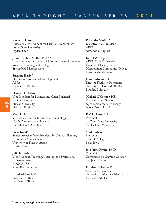**Kevin P. Hansen** Associate Vice President for Facilities Management Weber State University Ogden, Utah

**Jeanne S. Hart-Steffes, Ph.D. \*** Vice President for Student Affairs and Dean of Students Western New England College Springfield, Massachusetts

**Suzanne Healy \*** Director of Professional Development APPA Alexandria, Virginia

**George H. Herbst** Vice President for Business and Chief Financial Officer–Retired Stetson University DeLand, Florida

**Marc I. Hoit** Vice Chancellor for Information Technology North Carolina State University Raleigh, North Carolina

**Steve Kraal \*** Senior Associate Vice President for Campus Planning Facilities Management University of Texas at Austin Austin,Texas

**Julie K. Little** Vice President,Teaching, Learning, and Professional Development EDUCAUSE Knoxville,Tennessee

**Elizabeth Lunday \*** Freelance Author Fort Worth,Texas

**E. Lander Medlin \*** Executive Vice President APPA Alexandria, Virginia

**Darrel W. Meyer** APPA 2010-11 President Director of Facility Services Metropolitan Community College Kansas City, Missouri

**John P. Morris, P.E.** Director, Facilities Operations University of Colorado Boulder Boulder, Colorado

**Michael O'Connor, P.E. \*** Physical Plant Director Appalachian State University Boone, North Carolina

**Earl H. Potter III** President St. Cloud State University Saint Cloud, Minnesota

**Mark Putnam** President Central College Pella, Iowa

**Jose Jaime Rivera, Ph.D.** President Universidad del Sagrado Corazon San Juan, Puerto Rico

**Kathleen Schedler, P.E.** Facilities Professional University of Alaska-Fairbanks Fairbanks, Alaska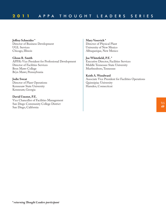**Jeffrey Schneider \*** Director of Business Development UGL Services Chicago,Illinois

**Glenn R. Smith** APPA's Vice President for Professional Development Director of Facilities Services Bryn Mawr College Bryn Mawr, Pennsylvania

**Jodie Sweat** Director of Plant Operations Kennesaw State University Kennesaw, Georgia

**David Umstot, P.E.** Vice Chancellor of Facilities Management San Diego Community College District San Diego, California

**Mary Vosevich \*** Director of Physical Plant University of New Mexico Albuquerque, New Mexico

**Joe Whitefield, P.E. \*** Executive Director, Facilities Services Middle Tennessee State University Murfreesboro,Tennessee

**Keith A.Woodward** Associate Vice President for Facilities Operations Quinnipiac University Hamden, Connecticut